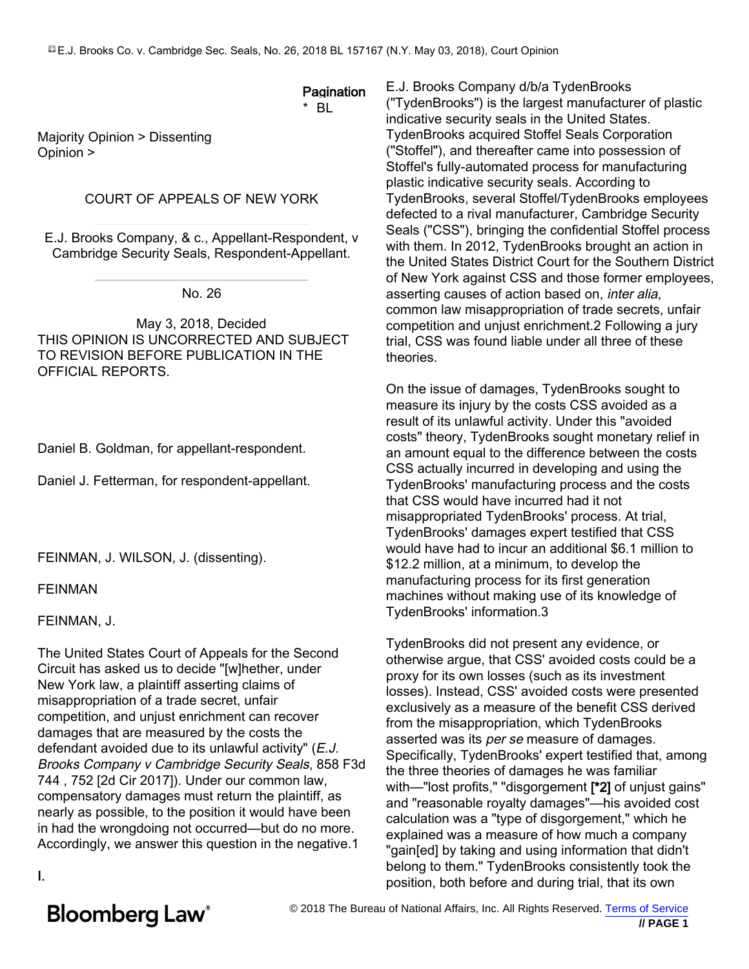**Pagination** \* BL

Majority Opinion > Dissenting Opinion >

## COURT OF APPEALS OF NEW YORK

E.J. Brooks Company, & c., Appellant-Respondent, v Cambridge Security Seals, Respondent-Appellant.

No. 26

## May 3, 2018, Decided THIS OPINION IS UNCORRECTED AND SUBJECT TO REVISION BEFORE PUBLICATION IN THE OFFICIAL REPORTS.

Daniel B. Goldman, for appellant-respondent.

Daniel J. Fetterman, for respondent-appellant.

FEINMAN, J. WILSON, J. (dissenting).

## FEINMAN

## FEINMAN, J.

The United States Court of Appeals for the Second Circuit has asked us to decide "[w]hether, under New York law, a plaintiff asserting claims of misappropriation of a trade secret, unfair competition, and unjust enrichment can recover damages that are measured by the costs the defendant avoided due to its unlawful activity" (E.J. Brooks Company v Cambridge Security Seals, 858 F3d 744 , 752 [2d Cir 2017]). Under our common law, compensatory damages must return the plaintiff, as nearly as possible, to the position it would have been in had the wrongdoing not occurred—but do no more. Accordingly, we answer this question in the negative.1

E.J. Brooks Company d/b/a TydenBrooks ("TydenBrooks") is the largest manufacturer of plastic indicative security seals in the United States. TydenBrooks acquired Stoffel Seals Corporation ("Stoffel"), and thereafter came into possession of Stoffel's fully-automated process for manufacturing plastic indicative security seals. According to TydenBrooks, several Stoffel/TydenBrooks employees defected to a rival manufacturer, Cambridge Security Seals ("CSS"), bringing the confidential Stoffel process with them. In 2012, TydenBrooks brought an action in the United States District Court for the Southern District of New York against CSS and those former employees, asserting causes of action based on, inter alia, common law misappropriation of trade secrets, unfair competition and unjust enrichment.2 Following a jury trial, CSS was found liable under all three of these theories.

On the issue of damages, TydenBrooks sought to measure its injury by the costs CSS avoided as a result of its unlawful activity. Under this "avoided costs" theory, TydenBrooks sought monetary relief in an amount equal to the difference between the costs CSS actually incurred in developing and using the TydenBrooks' manufacturing process and the costs that CSS would have incurred had it not misappropriated TydenBrooks' process. At trial, TydenBrooks' damages expert testified that CSS would have had to incur an additional \$6.1 million to \$12.2 million, at a minimum, to develop the manufacturing process for its first generation machines without making use of its knowledge of TydenBrooks' information.3

TydenBrooks did not present any evidence, or otherwise argue, that CSS' avoided costs could be a proxy for its own losses (such as its investment losses). Instead, CSS' avoided costs were presented exclusively as a measure of the benefit CSS derived from the misappropriation, which TydenBrooks asserted was its per se measure of damages. Specifically, TydenBrooks' expert testified that, among the three theories of damages he was familiar with—"lost profits," "disgorgement [\*2] of unjust gains" and "reasonable royalty damages"—his avoided cost calculation was a "type of disgorgement," which he explained was a measure of how much a company "gain[ed] by taking and using information that didn't belong to them." TydenBrooks consistently took the position, both before and during trial, that its own

I.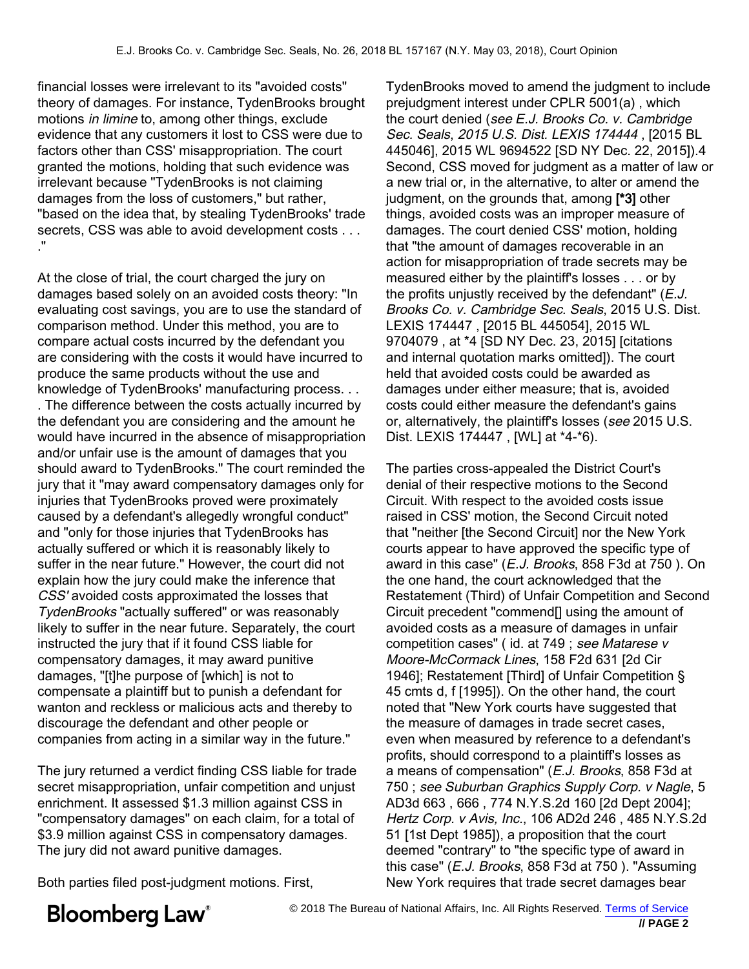financial losses were irrelevant to its "avoided costs" theory of damages. For instance, TydenBrooks brought motions in limine to, among other things, exclude evidence that any customers it lost to CSS were due to factors other than CSS' misappropriation. The court granted the motions, holding that such evidence was irrelevant because "TydenBrooks is not claiming damages from the loss of customers," but rather, "based on the idea that, by stealing TydenBrooks' trade secrets, CSS was able to avoid development costs . . . ."

At the close of trial, the court charged the jury on damages based solely on an avoided costs theory: "In evaluating cost savings, you are to use the standard of comparison method. Under this method, you are to compare actual costs incurred by the defendant you are considering with the costs it would have incurred to produce the same products without the use and knowledge of TydenBrooks' manufacturing process. . . . The difference between the costs actually incurred by the defendant you are considering and the amount he would have incurred in the absence of misappropriation and/or unfair use is the amount of damages that you should award to TydenBrooks." The court reminded the jury that it "may award compensatory damages only for injuries that TydenBrooks proved were proximately caused by a defendant's allegedly wrongful conduct" and "only for those injuries that TydenBrooks has actually suffered or which it is reasonably likely to suffer in the near future." However, the court did not explain how the jury could make the inference that CSS' avoided costs approximated the losses that TydenBrooks "actually suffered" or was reasonably likely to suffer in the near future. Separately, the court instructed the jury that if it found CSS liable for compensatory damages, it may award punitive damages, "[t]he purpose of [which] is not to compensate a plaintiff but to punish a defendant for wanton and reckless or malicious acts and thereby to discourage the defendant and other people or companies from acting in a similar way in the future."

The jury returned a verdict finding CSS liable for trade secret misappropriation, unfair competition and unjust enrichment. It assessed \$1.3 million against CSS in "compensatory damages" on each claim, for a total of \$3.9 million against CSS in compensatory damages. The jury did not award punitive damages.

TydenBrooks moved to amend the judgment to include prejudgment interest under CPLR 5001(a) , which the court denied (see E.J. Brooks Co. v. Cambridge Sec. Seals, 2015 U.S. Dist. LEXIS 174444 , [2015 BL 445046], 2015 WL 9694522 [SD NY Dec. 22, 2015]).4 Second, CSS moved for judgment as a matter of law or a new trial or, in the alternative, to alter or amend the judgment, on the grounds that, among [\*3] other things, avoided costs was an improper measure of damages. The court denied CSS' motion, holding that "the amount of damages recoverable in an action for misappropriation of trade secrets may be measured either by the plaintiff's losses . . . or by the profits unjustly received by the defendant"  $(E.J.$ Brooks Co. v. Cambridge Sec. Seals, 2015 U.S. Dist. LEXIS 174447 , [2015 BL 445054], 2015 WL 9704079 , at \*4 [SD NY Dec. 23, 2015] [citations and internal quotation marks omitted]). The court held that avoided costs could be awarded as damages under either measure; that is, avoided costs could either measure the defendant's gains or, alternatively, the plaintiff's losses (see 2015 U.S. Dist. LEXIS 174447 , [WL] at \*4-\*6).

The parties cross-appealed the District Court's denial of their respective motions to the Second Circuit. With respect to the avoided costs issue raised in CSS' motion, the Second Circuit noted that "neither [the Second Circuit] nor the New York courts appear to have approved the specific type of award in this case" (E.J. Brooks, 858 F3d at 750). On the one hand, the court acknowledged that the Restatement (Third) of Unfair Competition and Second Circuit precedent "commend[] using the amount of avoided costs as a measure of damages in unfair competition cases" ( id. at 749 ; see Matarese v Moore-McCormack Lines, 158 F2d 631 [2d Cir 1946]; Restatement [Third] of Unfair Competition § 45 cmts d, f [1995]). On the other hand, the court noted that "New York courts have suggested that the measure of damages in trade secret cases, even when measured by reference to a defendant's profits, should correspond to a plaintiff's losses as a means of compensation" (E.J. Brooks, 858 F3d at 750 ; see Suburban Graphics Supply Corp. v Nagle, 5 AD3d 663 , 666 , 774 N.Y.S.2d 160 [2d Dept 2004]; Hertz Corp. v Avis, Inc., 106 AD2d 246 , 485 N.Y.S.2d 51 [1st Dept 1985]), a proposition that the court deemed "contrary" to "the specific type of award in this case" (E.J. Brooks, 858 F3d at 750 ). "Assuming New York requires that trade secret damages bear

Both parties filed post-judgment motions. First,

**Bloomberg Law**<sup>®</sup>

#### © 2018 The Bureau of National Affairs, Inc. All Rights Reserved. [Terms of Service](http://www.bna.com/terms-of-service-subscription-products)  **// PAGE 2**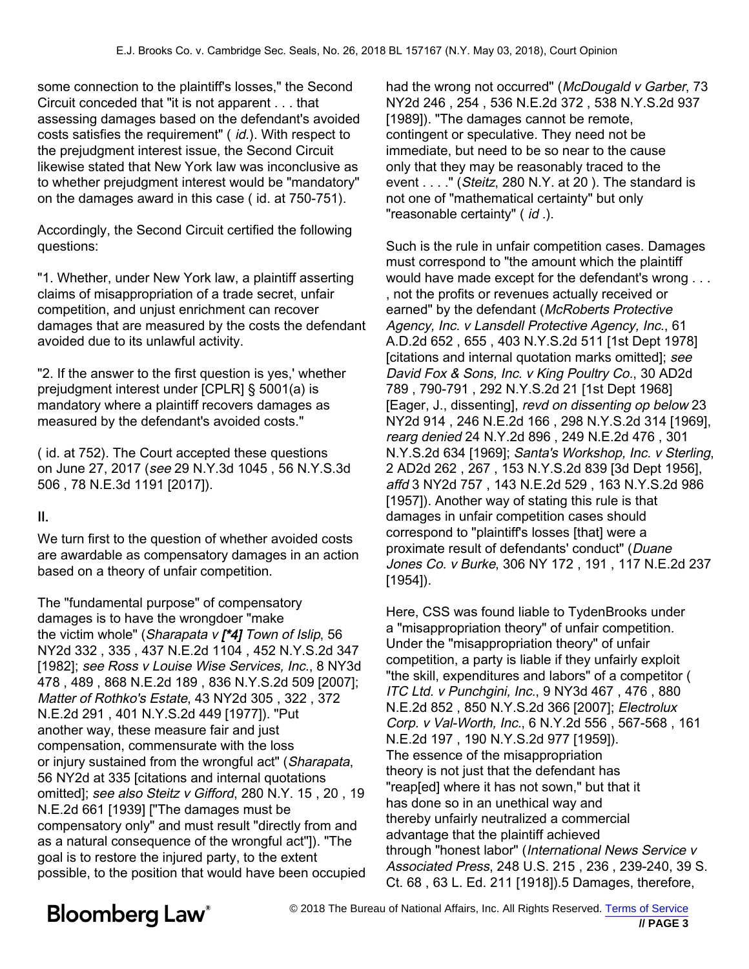some connection to the plaintiff's losses," the Second Circuit conceded that "it is not apparent . . . that assessing damages based on the defendant's avoided costs satisfies the requirement" ( id.). With respect to the prejudgment interest issue, the Second Circuit likewise stated that New York law was inconclusive as to whether prejudgment interest would be "mandatory" on the damages award in this case ( id. at 750-751).

Accordingly, the Second Circuit certified the following questions:

"1. Whether, under New York law, a plaintiff asserting claims of misappropriation of a trade secret, unfair competition, and unjust enrichment can recover damages that are measured by the costs the defendant avoided due to its unlawful activity.

"2. If the answer to the first question is yes,' whether prejudgment interest under [CPLR] § 5001(a) is mandatory where a plaintiff recovers damages as measured by the defendant's avoided costs."

( id. at 752). The Court accepted these questions on June 27, 2017 (see 29 N.Y.3d 1045 , 56 N.Y.S.3d 506 , 78 N.E.3d 1191 [2017]).

# II.

We turn first to the question of whether avoided costs are awardable as compensatory damages in an action based on a theory of unfair competition.

The "fundamental purpose" of compensatory damages is to have the wrongdoer "make the victim whole" (Sharapata v  $\sqrt{4}$  Town of Islip, 56 NY2d 332 , 335 , 437 N.E.2d 1104 , 452 N.Y.S.2d 347 [1982]; see Ross v Louise Wise Services, Inc., 8 NY3d 478 , 489 , 868 N.E.2d 189 , 836 N.Y.S.2d 509 [2007]; Matter of Rothko's Estate, 43 NY2d 305 , 322 , 372 N.E.2d 291 , 401 N.Y.S.2d 449 [1977]). "Put another way, these measure fair and just compensation, commensurate with the loss or injury sustained from the wrongful act" (Sharapata, 56 NY2d at 335 [citations and internal quotations omitted]; see also Steitz v Gifford, 280 N.Y. 15, 20, 19 N.E.2d 661 [1939] ["The damages must be compensatory only" and must result "directly from and as a natural consequence of the wrongful act"]). "The goal is to restore the injured party, to the extent possible, to the position that would have been occupied

had the wrong not occurred" (McDougald v Garber, 73 NY2d 246 , 254 , 536 N.E.2d 372 , 538 N.Y.S.2d 937 [1989]). "The damages cannot be remote, contingent or speculative. They need not be immediate, but need to be so near to the cause only that they may be reasonably traced to the event . . . . " (Steitz, 280 N.Y. at 20). The standard is not one of "mathematical certainty" but only "reasonable certainty" (id.).

Such is the rule in unfair competition cases. Damages must correspond to "the amount which the plaintiff would have made except for the defendant's wrong . . . , not the profits or revenues actually received or earned" by the defendant (McRoberts Protective Agency, Inc. v Lansdell Protective Agency, Inc., 61 A.D.2d 652 , 655 , 403 N.Y.S.2d 511 [1st Dept 1978] [citations and internal quotation marks omitted]; see David Fox & Sons, Inc. v King Poultry Co., 30 AD2d 789 , 790-791 , 292 N.Y.S.2d 21 [1st Dept 1968] [Eager, J., dissenting], revd on dissenting op below 23 NY2d 914 , 246 N.E.2d 166 , 298 N.Y.S.2d 314 [1969], rearg denied 24 N.Y.2d 896 , 249 N.E.2d 476 , 301 N.Y.S.2d 634 [1969]; Santa's Workshop, Inc. v Sterling, 2 AD2d 262, 267, 153 N.Y.S.2d 839 [3d Dept 1956], affd 3 NY2d 757 , 143 N.E.2d 529 , 163 N.Y.S.2d 986 [1957]). Another way of stating this rule is that damages in unfair competition cases should correspond to "plaintiff's losses [that] were a proximate result of defendants' conduct" (Duane Jones Co. v Burke, 306 NY 172 , 191 , 117 N.E.2d 237 [1954]).

Here, CSS was found liable to TydenBrooks under a "misappropriation theory" of unfair competition. Under the "misappropriation theory" of unfair competition, a party is liable if they unfairly exploit "the skill, expenditures and labors" of a competitor ( ITC Ltd. v Punchgini, Inc., 9 NY3d 467 , 476 , 880 N.E.2d 852 , 850 N.Y.S.2d 366 [2007]; Electrolux Corp. v Val-Worth, Inc., 6 N.Y.2d 556 , 567-568 , 161 N.E.2d 197 , 190 N.Y.S.2d 977 [1959]). The essence of the misappropriation theory is not just that the defendant has "reap[ed] where it has not sown," but that it has done so in an unethical way and thereby unfairly neutralized a commercial advantage that the plaintiff achieved through "honest labor" (International News Service v Associated Press, 248 U.S. 215 , 236 , 239-240, 39 S. Ct. 68 , 63 L. Ed. 211 [1918]).5 Damages, therefore,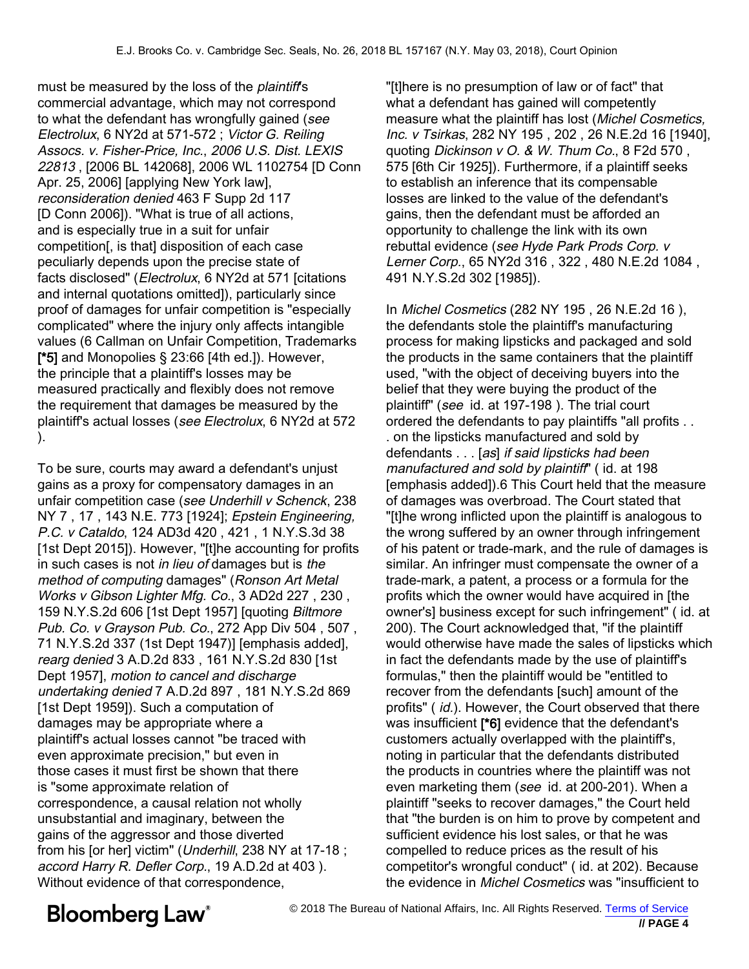must be measured by the loss of the *plaintiff's* commercial advantage, which may not correspond to what the defendant has wrongfully gained (see Electrolux, 6 NY2d at 571-572 ; Victor G. Reiling Assocs. v. Fisher-Price, Inc., 2006 U.S. Dist. LEXIS 22813 , [2006 BL 142068], 2006 WL 1102754 [D Conn Apr. 25, 2006] [applying New York law], reconsideration denied 463 F Supp 2d 117 [D Conn 2006]). "What is true of all actions, and is especially true in a suit for unfair competition[, is that] disposition of each case peculiarly depends upon the precise state of facts disclosed" (Electrolux, 6 NY2d at 571 [citations and internal quotations omitted]), particularly since proof of damages for unfair competition is "especially complicated" where the injury only affects intangible values (6 Callman on Unfair Competition, Trademarks [ $*5$ ] and Monopolies § 23:66 [4th ed.]). However, the principle that a plaintiff's losses may be measured practically and flexibly does not remove the requirement that damages be measured by the plaintiff's actual losses (see Electrolux, 6 NY2d at 572 ).

To be sure, courts may award a defendant's unjust gains as a proxy for compensatory damages in an unfair competition case (see Underhill v Schenck, 238 NY 7, 17, 143 N.E. 773 [1924]; Epstein Engineering, P.C. v Cataldo, 124 AD3d 420 , 421 , 1 N.Y.S.3d 38 [1st Dept 2015]). However, "[t]he accounting for profits in such cases is not in lieu of damages but is the method of computing damages" (Ronson Art Metal Works v Gibson Lighter Mfg. Co., 3 AD2d 227, 230, 159 N.Y.S.2d 606 [1st Dept 1957] [quoting Biltmore Pub. Co. v Grayson Pub. Co., 272 App Div 504, 507, Pub. Co. v Grayson Pub. Co., 272 App Div 504, 507, rearg denied 3 A.D.2d 833 , 161 N.Y.S.2d 830 [1st Dept 1957], motion to cancel and discharge undertaking denied 7 A.D.2d 897 , 181 N.Y.S.2d 869 [1st Dept 1959]). Such a computation of damages may be appropriate where a plaintiff's actual losses cannot "be traced with even approximate precision," but even in those cases it must first be shown that there is "some approximate relation of correspondence, a causal relation not wholly unsubstantial and imaginary, between the gains of the aggressor and those diverted from his [or her] victim" (*Underhill*, 238 NY at 17-18; accord Harry R. Defler Corp., 19 A.D.2d at 403 ). Without evidence of that correspondence,

"[t]here is no presumption of law or of fact" that what a defendant has gained will competently measure what the plaintiff has lost (Michel Cosmetics, Inc. v Tsirkas, 282 NY 195 , 202 , 26 N.E.2d 16 [1940], quoting Dickinson v O. & W. Thum Co., 8 F2d 570 , 575 [6th Cir 1925]). Furthermore, if a plaintiff seeks to establish an inference that its compensable losses are linked to the value of the defendant's gains, then the defendant must be afforded an opportunity to challenge the link with its own rebuttal evidence (see Hyde Park Prods Corp. v Lerner Corp., 65 NY2d 316, 322, 480 N.E.2d 1084, 491 N.Y.S.2d 302 [1985].

In Michel Cosmetics (282 NY 195 , 26 N.E.2d 16 ), the defendants stole the plaintiff's manufacturing process for making lipsticks and packaged and sold the products in the same containers that the plaintiff used, "with the object of deceiving buyers into the belief that they were buying the product of the plaintiff" (see id. at 197-198 ). The trial court ordered the defendants to pay plaintiffs "all profits . . . on the lipsticks manufactured and sold by defendants . . . [as] if said lipsticks had been manufactured and sold by plaintiff" ( id. at 198 [emphasis added]).6 This Court held that the measure of damages was overbroad. The Court stated that "[t]he wrong inflicted upon the plaintiff is analogous to the wrong suffered by an owner through infringement of his patent or trade-mark, and the rule of damages is similar. An infringer must compensate the owner of a trade-mark, a patent, a process or a formula for the profits which the owner would have acquired in [the owner's] business except for such infringement" ( id. at 200). The Court acknowledged that, "if the plaintiff would otherwise have made the sales of lipsticks which in fact the defendants made by the use of plaintiff's formulas," then the plaintiff would be "entitled to recover from the defendants [such] amount of the profits" ( id.). However, the Court observed that there was insufficient [<sup>\*</sup>6] evidence that the defendant's customers actually overlapped with the plaintiff's, noting in particular that the defendants distributed the products in countries where the plaintiff was not even marketing them (see id. at 200-201). When a plaintiff "seeks to recover damages," the Court held that "the burden is on him to prove by competent and sufficient evidence his lost sales, or that he was compelled to reduce prices as the result of his competitor's wrongful conduct" ( id. at 202). Because the evidence in Michel Cosmetics was "insufficient to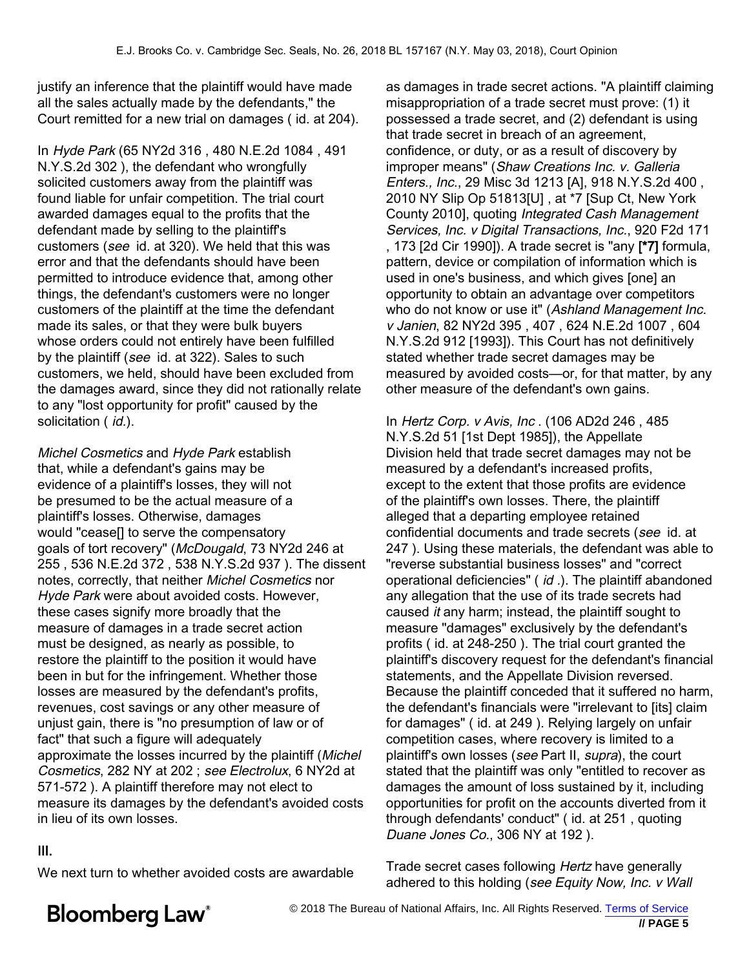justify an inference that the plaintiff would have made all the sales actually made by the defendants," the Court remitted for a new trial on damages ( id. at 204).

In Hyde Park (65 NY2d 316 , 480 N.E.2d 1084 , 491 N.Y.S.2d 302 ), the defendant who wrongfully solicited customers away from the plaintiff was found liable for unfair competition. The trial court awarded damages equal to the profits that the defendant made by selling to the plaintiff's customers (see id. at 320). We held that this was error and that the defendants should have been permitted to introduce evidence that, among other things, the defendant's customers were no longer customers of the plaintiff at the time the defendant made its sales, or that they were bulk buyers whose orders could not entirely have been fulfilled by the plaintiff (see id. at 322). Sales to such customers, we held, should have been excluded from the damages award, since they did not rationally relate to any "lost opportunity for profit" caused by the solicitation (*id.*).

Michel Cosmetics and Hyde Park establish that, while a defendant's gains may be evidence of a plaintiff's losses, they will not be presumed to be the actual measure of a plaintiff's losses. Otherwise, damages would "cease[] to serve the compensatory goals of tort recovery" (McDougald, 73 NY2d 246 at 255 , 536 N.E.2d 372 , 538 N.Y.S.2d 937 ). The dissent notes, correctly, that neither Michel Cosmetics nor Hyde Park were about avoided costs. However, these cases signify more broadly that the measure of damages in a trade secret action must be designed, as nearly as possible, to restore the plaintiff to the position it would have been in but for the infringement. Whether those losses are measured by the defendant's profits, revenues, cost savings or any other measure of unjust gain, there is "no presumption of law or of fact" that such a figure will adequately approximate the losses incurred by the plaintiff (Michel Cosmetics, 282 NY at 202 ; see Electrolux, 6 NY2d at 571-572 ). A plaintiff therefore may not elect to measure its damages by the defendant's avoided costs in lieu of its own losses.

as damages in trade secret actions. "A plaintiff claiming misappropriation of a trade secret must prove: (1) it possessed a trade secret, and (2) defendant is using that trade secret in breach of an agreement, confidence, or duty, or as a result of discovery by improper means" (Shaw Creations Inc. v. Galleria Enters., Inc., 29 Misc 3d 1213 [A], 918 N.Y.S.2d 400 , 2010 NY Slip Op 51813[U] , at \*7 [Sup Ct, New York County 2010], quoting Integrated Cash Management Services, Inc. v Digital Transactions, Inc., 920 F2d 171 , 173 [2d Cir 1990]). A trade secret is "any  $[*7]$  formula, pattern, device or compilation of information which is used in one's business, and which gives [one] an opportunity to obtain an advantage over competitors who do not know or use it" (Ashland Management Inc. v Janien, 82 NY2d 395 , 407 , 624 N.E.2d 1007 , 604 N.Y.S.2d 912 [1993]). This Court has not definitively stated whether trade secret damages may be measured by avoided costs—or, for that matter, by any other measure of the defendant's own gains.

In Hertz Corp. v Avis, Inc . (106 AD2d 246 , 485 N.Y.S.2d 51 [1st Dept 1985]), the Appellate Division held that trade secret damages may not be measured by a defendant's increased profits, except to the extent that those profits are evidence of the plaintiff's own losses. There, the plaintiff alleged that a departing employee retained confidential documents and trade secrets (see id. at 247 ). Using these materials, the defendant was able to "reverse substantial business losses" and "correct operational deficiencies" (*id .*). The plaintiff abandoned any allegation that the use of its trade secrets had caused it any harm; instead, the plaintiff sought to measure "damages" exclusively by the defendant's profits ( id. at 248-250 ). The trial court granted the plaintiff's discovery request for the defendant's financial statements, and the Appellate Division reversed. Because the plaintiff conceded that it suffered no harm, the defendant's financials were "irrelevant to [its] claim for damages" ( id. at 249 ). Relying largely on unfair competition cases, where recovery is limited to a plaintiff's own losses (see Part II, supra), the court stated that the plaintiff was only "entitled to recover as damages the amount of loss sustained by it, including opportunities for profit on the accounts diverted from it through defendants' conduct" ( id. at 251 , quoting Duane Jones Co., 306 NY at 192).

Trade secret cases following Hertz have generally adhered to this holding (see Equity Now, Inc. v Wall

# III.

We next turn to whether avoided costs are awardable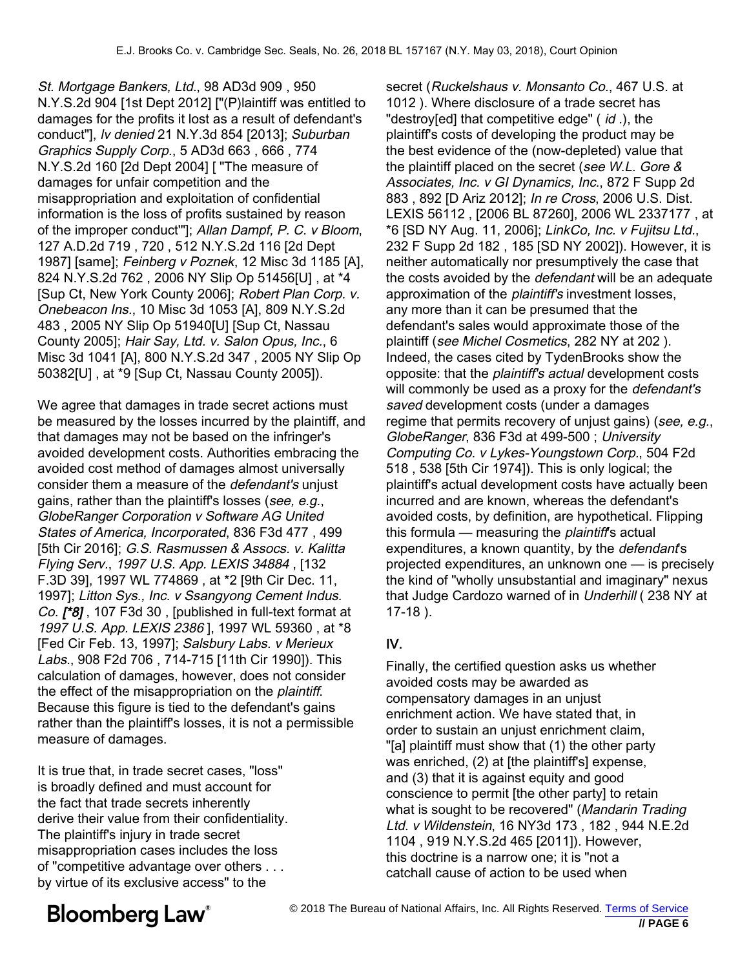St. Mortgage Bankers, Ltd., 98 AD3d 909 , 950 N.Y.S.2d 904 [1st Dept 2012] ["(P)laintiff was entitled to damages for the profits it lost as a result of defendant's conduct"], lv denied 21 N.Y.3d 854 [2013]; Suburban Graphics Supply Corp., 5 AD3d 663 , 666 , 774 N.Y.S.2d 160 [2d Dept 2004] [ "The measure of damages for unfair competition and the misappropriation and exploitation of confidential information is the loss of profits sustained by reason of the improper conduct"]; Allan Dampf, P. C. v Bloom,<br>127 A.D.2d 719 , 720 , 512 N.Y.S.2d 116 [2d Dept 1987] [same]; Feinberg v Poznek, 12 Misc 3d 1185 [A], 824 N.Y.S.2d 762 , 2006 NY Slip Op 51456[U] , at \*4 [Sup Ct, New York County 2006]; Robert Plan Corp. v. Onebeacon Ins., 10 Misc 3d 1053 [A], 809 N.Y.S.2d 483 , 2005 NY Slip Op 51940[U] [Sup Ct, Nassau County 2005]; Hair Say, Ltd. v. Salon Opus, Inc., 6 Misc 3d 1041 [A], 800 N.Y.S.2d 347 , 2005 NY Slip Op 50382[U] , at \*9 [Sup Ct, Nassau County 2005]).

We agree that damages in trade secret actions must be measured by the losses incurred by the plaintiff, and that damages may not be based on the infringer's avoided development costs. Authorities embracing the avoided cost method of damages almost universally consider them a measure of the *defendant's* unjust gains, rather than the plaintiff's losses (see, e.g., GlobeRanger Corporation v Software AG United States of America, Incorporated, 836 F3d 477 , 499 [5th Cir 2016]; G.S. Rasmussen & Assocs. v. Kalitta Flying Serv., 1997 U.S. App. LEXIS 34884 , [132 F.3D 39], 1997 WL 774869 , at \*2 [9th Cir Dec. 11, 1997]; Litton Sys., Inc. v Ssangyong Cement Indus. Co. [\*8] , 107 F3d 30 , [published in full-text format at 1997 U.S. App. LEXIS 2386 ], 1997 WL 59360 , at \*8 [Fed Cir Feb. 13, 1997]; Salsbury Labs. v Merieux Labs., 908 F2d 706 , 714-715 [11th Cir 1990]). This calculation of damages, however, does not consider the effect of the misappropriation on the *plaintiff.*<br>Because this figure is tied to the defendant's gains rather than the plaintiff's losses, it is not a permissible measure of damages.

It is true that, in trade secret cases, "loss" is broadly defined and must account for the fact that trade secrets inherently derive their value from their confidentiality. The plaintiff's injury in trade secret misappropriation cases includes the loss of "competitive advantage over others . . . by virtue of its exclusive access" to the

secret (Ruckelshaus v. Monsanto Co., 467 U.S. at 1012 ). Where disclosure of a trade secret has "destroy[ed] that competitive edge" (*id*.), the plaintiff's costs of developing the product may be the best evidence of the (now-depleted) value that the plaintiff placed on the secret (see W.L. Gore & Associates, Inc. v GI Dynamics, Inc., 872 F Supp 2d 883 , 892 [D Ariz 2012]; In re Cross, 2006 U.S. Dist. LEXIS 56112 , [2006 BL 87260], 2006 WL 2337177 , at \*6 [SD NY Aug. 11, 2006]; LinkCo, Inc. v Fujitsu Ltd., 232 F Supp 2d 182 , 185 [SD NY 2002]). However, it is neither automatically nor presumptively the case that the costs avoided by the *defendant* will be an adequate approximation of the *plaintiff's* investment losses, any more than it can be presumed that the defendant's sales would approximate those of the plaintiff (see Michel Cosmetics, 282 NY at 202 ). Indeed, the cases cited by TydenBrooks show the opposite: that the plaintiff's actual development costs will commonly be used as a proxy for the *defendant's* saved development costs (under a damages regime that permits recovery of unjust gains) (see, e.g., GlobeRanger, 836 F3d at 499-500 ; University Computing Co. v Lykes-Youngstown Corp., 504 F2d 518 , 538 [5th Cir 1974]). This is only logical; the plaintiff's actual development costs have actually been incurred and are known, whereas the defendant's avoided costs, by definition, are hypothetical. Flipping this formula — measuring the *plaintiff's* actual expenditures, a known quantity, by the *defendant's* projected expenditures, an unknown one — is precisely the kind of "wholly unsubstantial and imaginary" nexus that Judge Cardozo warned of in Underhill ( 238 NY at 17-18 ).

# IV.

Finally, the certified question asks us whether avoided costs may be awarded as compensatory damages in an unjust enrichment action. We have stated that, in order to sustain an unjust enrichment claim, "[a] plaintiff must show that (1) the other party was enriched, (2) at [the plaintiff's] expense, and (3) that it is against equity and good conscience to permit [the other party] to retain what is sought to be recovered" (Mandarin Trading Ltd. v Wildenstein, 16 NY3d 173 , 182 , 944 N.E.2d 1104 , 919 N.Y.S.2d 465 [2011]). However, this doctrine is a narrow one; it is "not a catchall cause of action to be used when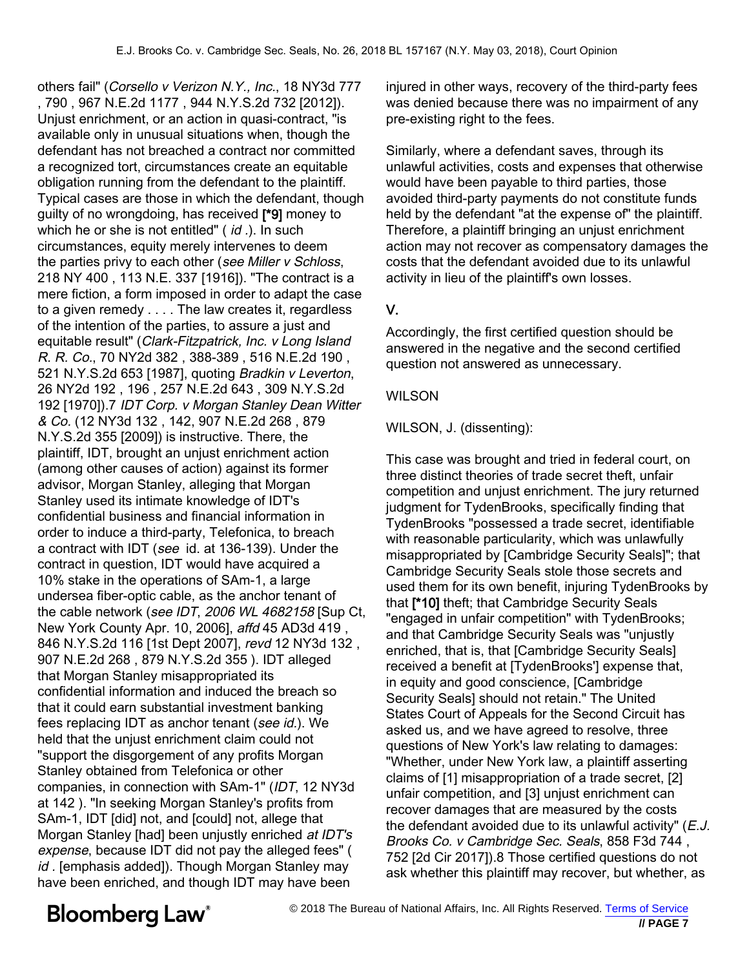others fail" (Corsello v Verizon N.Y., Inc., 18 NY3d 777 , 790 , 967 N.E.2d 1177 , 944 N.Y.S.2d 732 [2012]). Unjust enrichment, or an action in quasi-contract, "is available only in unusual situations when, though the defendant has not breached a contract nor committed a recognized tort, circumstances create an equitable obligation running from the defendant to the plaintiff. Typical cases are those in which the defendant, though guilty of no wrongdoing, has received [\*9] money to which he or she is not entitled" (*id*.). In such circumstances, equity merely intervenes to deem the parties privy to each other (*see Miller v Schloss*,<br>218 NY 400, 113 N.E. 337 [1916]). "The contract is a mere fiction, a form imposed in order to adapt the case to a given remedy . . . . The law creates it, regardless of the intention of the parties, to assure a just and equitable result" (Clark-Fitzpatrick, Inc. v Long Island R. R. Co., 70 NY2d 382 , 388-389 , 516 N.E.2d 190 , 521 N.Y.S.2d 653 [1987], quoting *Bradkin v Leverton,* 26 NY2d 192, 196, 257 N.E.2d 643 , 309 N.Y.S.2d 192 [1970]).7 IDT Corp. v Morgan Stanley Dean Witter & Co. (12 NY3d 132 , 142, 907 N.E.2d 268 , 879 N.Y.S.2d 355 [2009]) is instructive. There, the plaintiff, IDT, brought an unjust enrichment action (among other causes of action) against its former advisor, Morgan Stanley, alleging that Morgan Stanley used its intimate knowledge of IDT's confidential business and financial information in order to induce a third-party, Telefonica, to breach a contract with IDT (see id. at 136-139). Under the contract in question, IDT would have acquired a 10% stake in the operations of SAm-1, a large undersea fiber-optic cable, as the anchor tenant of the cable network (see IDT, 2006 WL 4682158 [Sup Ct, New York County Apr. 10, 2006], affd 45 AD3d 419 , 846 N.Y.S.2d 116 [1st Dept 2007], revd 12 NY3d 132 , 907 N.E.2d 268 , 879 N.Y.S.2d 355 ). IDT alleged that Morgan Stanley misappropriated its confidential information and induced the breach so that it could earn substantial investment banking fees replacing IDT as anchor tenant (see id.). We held that the unjust enrichment claim could not "support the disgorgement of any profits Morgan Stanley obtained from Telefonica or other companies, in connection with SAm-1" (IDT, 12 NY3d at 142 ). "In seeking Morgan Stanley's profits from SAm-1, IDT [did] not, and [could] not, allege that Morgan Stanley [had] been unjustly enriched at IDT's expense, because IDT did not pay the alleged fees" ( id. [emphasis added]). Though Morgan Stanley may have been enriched, and though IDT may have been

injured in other ways, recovery of the third-party fees was denied because there was no impairment of any pre-existing right to the fees.

Similarly, where a defendant saves, through its unlawful activities, costs and expenses that otherwise would have been payable to third parties, those avoided third-party payments do not constitute funds held by the defendant "at the expense of" the plaintiff. Therefore, a plaintiff bringing an unjust enrichment action may not recover as compensatory damages the costs that the defendant avoided due to its unlawful activity in lieu of the plaintiff's own losses.

# V.

Accordingly, the first certified question should be answered in the negative and the second certified question not answered as unnecessary.

# WILSON

WILSON, J. (dissenting):

This case was brought and tried in federal court, on three distinct theories of trade secret theft, unfair competition and unjust enrichment. The jury returned judgment for TydenBrooks, specifically finding that TydenBrooks "possessed a trade secret, identifiable with reasonable particularity, which was unlawfully misappropriated by [Cambridge Security Seals]"; that Cambridge Security Seals stole those secrets and used them for its own benefit, injuring TydenBrooks by that [\*10] theft; that Cambridge Security Seals "engaged in unfair competition" with TydenBrooks; and that Cambridge Security Seals was "unjustly enriched, that is, that [Cambridge Security Seals] received a benefit at [TydenBrooks'] expense that, in equity and good conscience, [Cambridge Security Seals] should not retain." The United States Court of Appeals for the Second Circuit has asked us, and we have agreed to resolve, three questions of New York's law relating to damages: "Whether, under New York law, a plaintiff asserting claims of [1] misappropriation of a trade secret, [2] unfair competition, and [3] unjust enrichment can recover damages that are measured by the costs the defendant avoided due to its unlawful activity" (E.J. Brooks Co. v Cambridge Sec. Seals, 858 F3d 744, Brooks Co. v Cambridge Sec. Seals, 858 F3d 744, ask whether this plaintiff may recover, but whether, as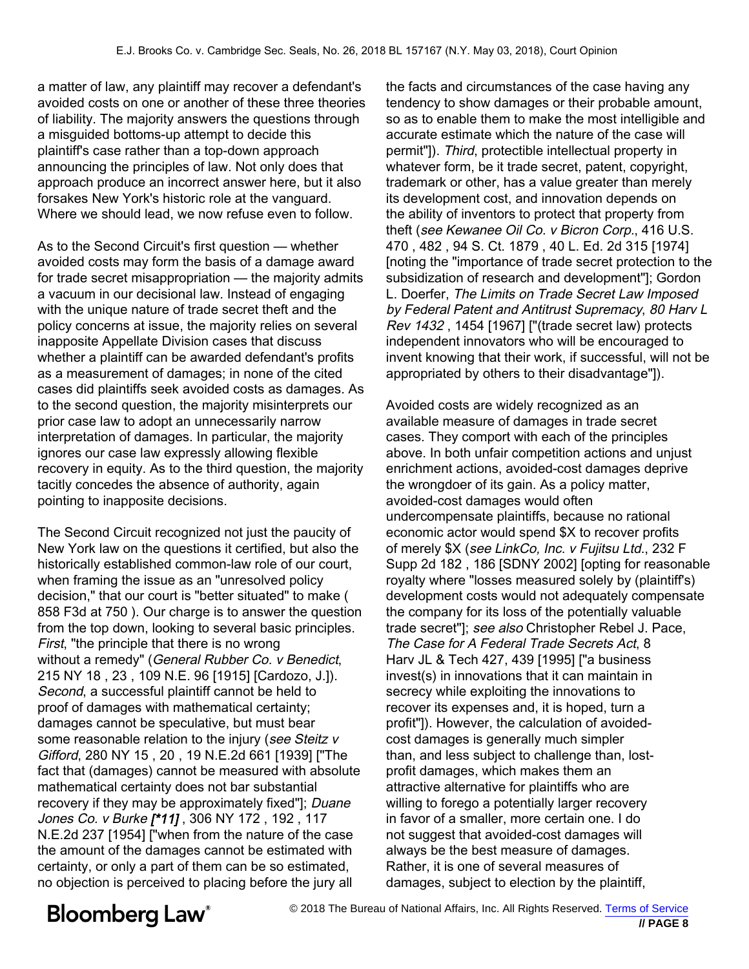a matter of law, any plaintiff may recover a defendant's avoided costs on one or another of these three theories of liability. The majority answers the questions through a misguided bottoms-up attempt to decide this plaintiff's case rather than a top-down approach announcing the principles of law. Not only does that approach produce an incorrect answer here, but it also forsakes New York's historic role at the vanguard. Where we should lead, we now refuse even to follow.

As to the Second Circuit's first question — whether avoided costs may form the basis of a damage award for trade secret misappropriation — the majority admits a vacuum in our decisional law. Instead of engaging with the unique nature of trade secret theft and the policy concerns at issue, the majority relies on several inapposite Appellate Division cases that discuss whether a plaintiff can be awarded defendant's profits as a measurement of damages; in none of the cited cases did plaintiffs seek avoided costs as damages. As to the second question, the majority misinterprets our prior case law to adopt an unnecessarily narrow interpretation of damages. In particular, the majority ignores our case law expressly allowing flexible recovery in equity. As to the third question, the majority tacitly concedes the absence of authority, again pointing to inapposite decisions.

The Second Circuit recognized not just the paucity of New York law on the questions it certified, but also the historically established common-law role of our court, when framing the issue as an "unresolved policy decision," that our court is "better situated" to make ( 858 F3d at 750 ). Our charge is to answer the question from the top down, looking to several basic principles. First, "the principle that there is no wrong without a remedy" (*General Rubber Co. v Benedict,*<br>215 NY 18 , 23 , 109 N.E. 96 [1915] [Cardozo, J.]). Second, a successful plaintiff cannot be held to proof of damages with mathematical certainty; damages cannot be speculative, but must bear some reasonable relation to the injury (see Steitz v Gifford, 280 NY 15 , 20 , 19 N.E.2d 661 [1939] ["The fact that (damages) cannot be measured with absolute mathematical certainty does not bar substantial recovery if they may be approximately fixed"]; Duane Jones Co. v Burke [\*11], 306 NY 172, 192, 117 N.E.2d 237 [1954] ["when from the nature of the case the amount of the damages cannot be estimated with certainty, or only a part of them can be so estimated, no objection is perceived to placing before the jury all

the facts and circumstances of the case having any tendency to show damages or their probable amount, so as to enable them to make the most intelligible and accurate estimate which the nature of the case will permit"]). Third, protectible intellectual property in whatever form, be it trade secret, patent, copyright, trademark or other, has a value greater than merely its development cost, and innovation depends on the ability of inventors to protect that property from theft (see Kewanee Oil Co. v Bicron Corp., 416 U.S. 470 , 482 , 94 S. Ct. 1879 , 40 L. Ed. 2d 315 [1974] [noting the "importance of trade secret protection to the subsidization of research and development"]; Gordon L. Doerfer, The Limits on Trade Secret Law Imposed by Federal Patent and Antitrust Supremacy, 80 Harv L Rev 1432 , 1454 [1967] ["(trade secret law) protects independent innovators who will be encouraged to invent knowing that their work, if successful, will not be appropriated by others to their disadvantage"]).

Avoided costs are widely recognized as an available measure of damages in trade secret cases. They comport with each of the principles above. In both unfair competition actions and unjust enrichment actions, avoided-cost damages deprive the wrongdoer of its gain. As a policy matter, avoided-cost damages would often undercompensate plaintiffs, because no rational economic actor would spend \$X to recover profits of merely \$X (see LinkCo, Inc. v Fujitsu Ltd., 232 F Supp 2d 182 , 186 [SDNY 2002] [opting for reasonable royalty where "losses measured solely by (plaintiff's) development costs would not adequately compensate the company for its loss of the potentially valuable trade secret"]; see also Christopher Rebel J. Pace, The Case for A Federal Trade Secrets Act, 8 Harv JL & Tech 427, 439 [1995] ["a business invest(s) in innovations that it can maintain in secrecy while exploiting the innovations to recover its expenses and, it is hoped, turn a profit"]). However, the calculation of avoidedcost damages is generally much simpler than, and less subject to challenge than, lostprofit damages, which makes them an attractive alternative for plaintiffs who are willing to forego a potentially larger recovery in favor of a smaller, more certain one. I do not suggest that avoided-cost damages will always be the best measure of damages. Rather, it is one of several measures of damages, subject to election by the plaintiff,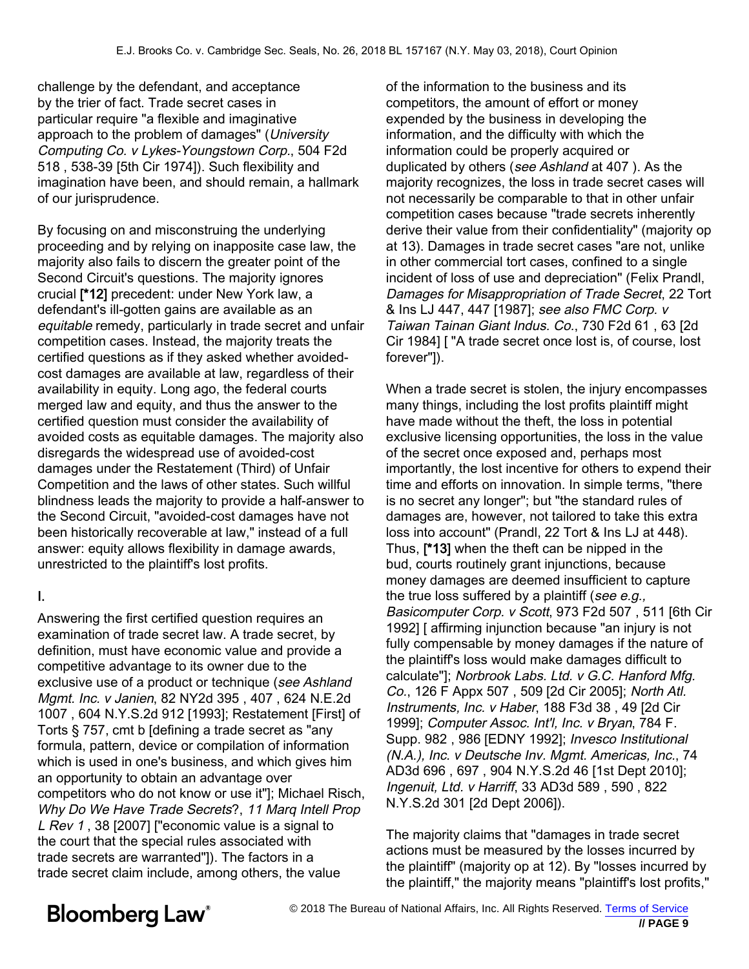challenge by the defendant, and acceptance by the trier of fact. Trade secret cases in particular require "a flexible and imaginative approach to the problem of damages" (University Computing Co. v Lykes-Youngstown Corp., 504 F2d 518 , 538-39 [5th Cir 1974]). Such flexibility and imagination have been, and should remain, a hallmark of our jurisprudence.

By focusing on and misconstruing the underlying proceeding and by relying on inapposite case law, the majority also fails to discern the greater point of the Second Circuit's questions. The majority ignores crucial [\*12] precedent: under New York law, a defendant's ill-gotten gains are available as an equitable remedy, particularly in trade secret and unfair competition cases. Instead, the majority treats the certified questions as if they asked whether avoidedcost damages are available at law, regardless of their availability in equity. Long ago, the federal courts merged law and equity, and thus the answer to the certified question must consider the availability of avoided costs as equitable damages. The majority also disregards the widespread use of avoided-cost damages under the Restatement (Third) of Unfair Competition and the laws of other states. Such willful blindness leads the majority to provide a half-answer to the Second Circuit, "avoided-cost damages have not been historically recoverable at law," instead of a full answer: equity allows flexibility in damage awards, unrestricted to the plaintiff's lost profits.

## I.

Answering the first certified question requires an examination of trade secret law. A trade secret, by definition, must have economic value and provide a competitive advantage to its owner due to the exclusive use of a product or technique (see Ashland Mgmt. Inc. v Janien, 82 NY2d 395 , 407 , 624 N.E.2d 1007 , 604 N.Y.S.2d 912 [1993]; Restatement [First] of Torts § 757, cmt b [defining a trade secret as "any formula, pattern, device or compilation of information which is used in one's business, and which gives him an opportunity to obtain an advantage over competitors who do not know or use it"]; Michael Risch, Why Do We Have Trade Secrets?, 11 Marg Intell Prop L Rev 1 , 38 [2007] ["economic value is a signal to the court that the special rules associated with trade secrets are warranted"]). The factors in a trade secret claim include, among others, the value

of the information to the business and its competitors, the amount of effort or money expended by the business in developing the information, and the difficulty with which the information could be properly acquired or duplicated by others (see Ashland at 407). As the majority recognizes, the loss in trade secret cases will not necessarily be comparable to that in other unfair competition cases because "trade secrets inherently derive their value from their confidentiality" (majority op at 13). Damages in trade secret cases "are not, unlike in other commercial tort cases, confined to a single incident of loss of use and depreciation" (Felix Prandl, Damages for Misappropriation of Trade Secret, 22 Tort & Ins LJ 447, 447 [1987]; see also FMC Corp. v Taiwan Tainan Giant Indus. Co., 730 F2d 61 , 63 [2d Cir 1984] [ "A trade secret once lost is, of course, lost forever"]).

When a trade secret is stolen, the injury encompasses many things, including the lost profits plaintiff might have made without the theft, the loss in potential exclusive licensing opportunities, the loss in the value of the secret once exposed and, perhaps most importantly, the lost incentive for others to expend their time and efforts on innovation. In simple terms, "there is no secret any longer"; but "the standard rules of damages are, however, not tailored to take this extra loss into account" (Prandl, 22 Tort & Ins LJ at 448). Thus, [\*13] when the theft can be nipped in the bud, courts routinely grant injunctions, because money damages are deemed insufficient to capture the true loss suffered by a plaintiff (see e.g., Basicomputer Corp. v Scott, 973 F2d 507 , 511 [6th Cir 1992] [ affirming injunction because "an injury is not fully compensable by money damages if the nature of the plaintiff's loss would make damages difficult to calculate"]; Norbrook Labs. Ltd. v G.C. Hanford Mfg. Co., 126 F Appx 507 , 509 [2d Cir 2005]; North Atl. Instruments, Inc. v Haber, 188 F3d 38 , 49 [2d Cir 1999]; Computer Assoc. Int'l, Inc. v Bryan, 784 F. Supp. 982 , 986 [EDNY 1992]; Invesco Institutional (N.A.), Inc. v Deutsche Inv. Mgmt. Americas, Inc., 74 AD3d 696 , 697 , 904 N.Y.S.2d 46 [1st Dept 2010]; Ingenuit, Ltd. v Harriff, 33 AD3d 589 , 590 , 822 N.Y.S.2d 301 [2d Dept 2006]).

The majority claims that "damages in trade secret actions must be measured by the losses incurred by the plaintiff" (majority op at 12). By "losses incurred by the plaintiff," the majority means "plaintiff's lost profits,"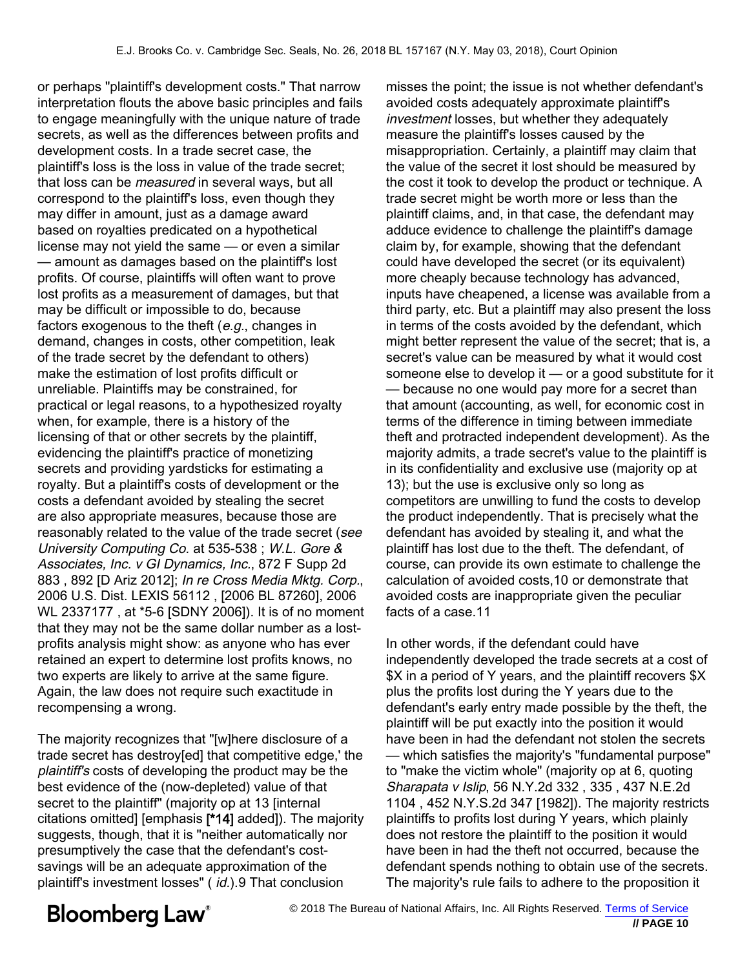or perhaps "plaintiff's development costs." That narrow interpretation flouts the above basic principles and fails to engage meaningfully with the unique nature of trade secrets, as well as the differences between profits and development costs. In a trade secret case, the plaintiff's loss is the loss in value of the trade secret; that loss can be *measured* in several ways, but all correspond to the plaintiff's loss, even though they may differ in amount, just as a damage award based on royalties predicated on a hypothetical license may not yield the same — or even a similar — amount as damages based on the plaintiff's lost profits. Of course, plaintiffs will often want to prove lost profits as a measurement of damages, but that may be difficult or impossible to do, because factors exogenous to the theft (e.g., changes in demand, changes in costs, other competition, leak of the trade secret by the defendant to others) make the estimation of lost profits difficult or unreliable. Plaintiffs may be constrained, for practical or legal reasons, to a hypothesized royalty when, for example, there is a history of the licensing of that or other secrets by the plaintiff, evidencing the plaintiff's practice of monetizing secrets and providing yardsticks for estimating a royalty. But a plaintiff's costs of development or the costs a defendant avoided by stealing the secret are also appropriate measures, because those are reasonably related to the value of the trade secret (see University Computing Co. at 535-538 ; W.L. Gore & Associates, Inc. v GI Dynamics, Inc., 872 F Supp 2d 883 , 892 [D Ariz 2012]; *In re Cross Media Mktg. Corp.*, 2006<br>2006 U.S. Dist. LEXIS 56112 , [2006 BL 87260], 2006 WL 2337177 , at \*5-6 [SDNY 2006]). It is of no moment that they may not be the same dollar number as a lostprofits analysis might show: as anyone who has ever retained an expert to determine lost profits knows, no two experts are likely to arrive at the same figure. Again, the law does not require such exactitude in recompensing a wrong.

The majority recognizes that "[w]here disclosure of a trade secret has destroy[ed] that competitive edge,' the plaintiff's costs of developing the product may be the best evidence of the (now-depleted) value of that secret to the plaintiff" (majority op at 13 [internal citations omitted] [emphasis [\*14] added]). The majority suggests, though, that it is "neither automatically nor presumptively the case that the defendant's costsavings will be an adequate approximation of the plaintiff's investment losses" ( id.).9 That conclusion

misses the point; the issue is not whether defendant's avoided costs adequately approximate plaintiff's investment losses, but whether they adequately measure the plaintiff's losses caused by the misappropriation. Certainly, a plaintiff may claim that the value of the secret it lost should be measured by the cost it took to develop the product or technique. A trade secret might be worth more or less than the plaintiff claims, and, in that case, the defendant may adduce evidence to challenge the plaintiff's damage claim by, for example, showing that the defendant could have developed the secret (or its equivalent) more cheaply because technology has advanced, inputs have cheapened, a license was available from a third party, etc. But a plaintiff may also present the loss in terms of the costs avoided by the defendant, which might better represent the value of the secret; that is, a secret's value can be measured by what it would cost someone else to develop it — or a good substitute for it — because no one would pay more for a secret than that amount (accounting, as well, for economic cost in terms of the difference in timing between immediate theft and protracted independent development). As the majority admits, a trade secret's value to the plaintiff is in its confidentiality and exclusive use (majority op at 13); but the use is exclusive only so long as competitors are unwilling to fund the costs to develop the product independently. That is precisely what the defendant has avoided by stealing it, and what the plaintiff has lost due to the theft. The defendant, of course, can provide its own estimate to challenge the calculation of avoided costs,10 or demonstrate that avoided costs are inappropriate given the peculiar facts of a case.11

In other words, if the defendant could have independently developed the trade secrets at a cost of \$X in a period of Y years, and the plaintiff recovers \$X plus the profits lost during the Y years due to the defendant's early entry made possible by the theft, the plaintiff will be put exactly into the position it would have been in had the defendant not stolen the secrets — which satisfies the majority's "fundamental purpose" to "make the victim whole" (majority op at 6, quoting Sharapata v Islip, 56 N.Y.2d 332 , 335 , 437 N.E.2d 1104 , 452 N.Y.S.2d 347 [1982]). The majority restricts plaintiffs to profits lost during Y years, which plainly does not restore the plaintiff to the position it would have been in had the theft not occurred, because the defendant spends nothing to obtain use of the secrets. The majority's rule fails to adhere to the proposition it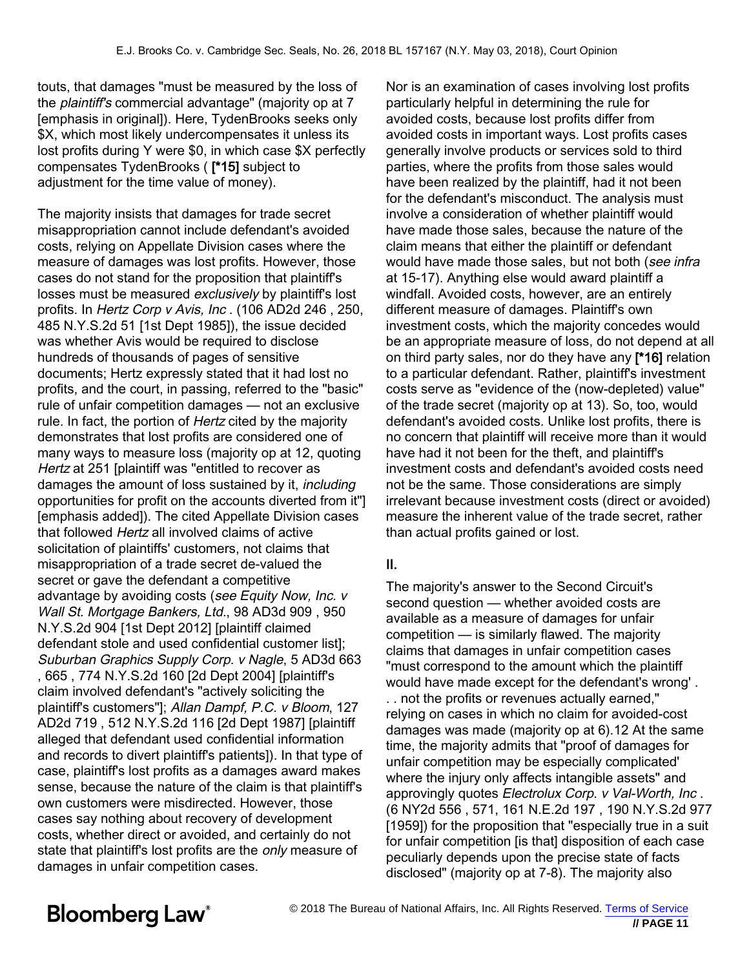touts, that damages "must be measured by the loss of the *plaintiff's* commercial advantage" (majority op at 7 [emphasis in original]). Here, TydenBrooks seeks only \$X, which most likely undercompensates it unless its lost profits during Y were \$0, in which case \$X perfectly compensates TydenBrooks ( [\*15] subject to adjustment for the time value of money).

The majority insists that damages for trade secret misappropriation cannot include defendant's avoided costs, relying on Appellate Division cases where the measure of damages was lost profits. However, those cases do not stand for the proposition that plaintiff's losses must be measured exclusively by plaintiff's lost profits. In Hertz Corp v Avis, Inc . (106 AD2d 246 , 250, 485 N.Y.S.2d 51 [1st Dept 1985]), the issue decided was whether Avis would be required to disclose hundreds of thousands of pages of sensitive documents; Hertz expressly stated that it had lost no profits, and the court, in passing, referred to the "basic" rule of unfair competition damages — not an exclusive rule. In fact, the portion of Hertz cited by the majority demonstrates that lost profits are considered one of many ways to measure loss (majority op at 12, quoting Hertz at 251 [plaintiff was "entitled to recover as damages the amount of loss sustained by it, including opportunities for profit on the accounts diverted from it"] [emphasis added]). The cited Appellate Division cases that followed Hertz all involved claims of active solicitation of plaintiffs' customers, not claims that misappropriation of a trade secret de-valued the secret or gave the defendant a competitive advantage by avoiding costs (see Equity Now, Inc. v Wall St. Mortgage Bankers, Ltd., 98 AD3d 909 , 950 N.Y.S.2d 904 [1st Dept 2012] [plaintiff claimed defendant stole and used confidential customer list]; Suburban Graphics Supply Corp. v Nagle, 5 AD3d 663 , 665 , 774 N.Y.S.2d 160 [2d Dept 2004] [plaintiff's claim involved defendant's "actively soliciting the plaintiff's customers"]; Allan Dampf, P.C. v Bloom, 127 AD2d 719 , 512 N.Y.S.2d 116 [2d Dept 1987] [plaintiff alleged that defendant used confidential information and records to divert plaintiff's patients]). In that type of case, plaintiff's lost profits as a damages award makes sense, because the nature of the claim is that plaintiff's own customers were misdirected. However, those cases say nothing about recovery of development costs, whether direct or avoided, and certainly do not state that plaintiff's lost profits are the *only* measure of damages in unfair competition cases.

Nor is an examination of cases involving lost profits particularly helpful in determining the rule for avoided costs, because lost profits differ from avoided costs in important ways. Lost profits cases generally involve products or services sold to third parties, where the profits from those sales would have been realized by the plaintiff, had it not been for the defendant's misconduct. The analysis must involve a consideration of whether plaintiff would have made those sales, because the nature of the claim means that either the plaintiff or defendant would have made those sales, but not both (see infra at 15-17). Anything else would award plaintiff a windfall. Avoided costs, however, are an entirely different measure of damages. Plaintiff's own investment costs, which the majority concedes would be an appropriate measure of loss, do not depend at all on third party sales, nor do they have any [\*16] relation to a particular defendant. Rather, plaintiff's investment costs serve as "evidence of the (now-depleted) value" of the trade secret (majority op at 13). So, too, would defendant's avoided costs. Unlike lost profits, there is no concern that plaintiff will receive more than it would have had it not been for the theft, and plaintiff's investment costs and defendant's avoided costs need not be the same. Those considerations are simply irrelevant because investment costs (direct or avoided) measure the inherent value of the trade secret, rather than actual profits gained or lost.

# II.

The majority's answer to the Second Circuit's second question — whether avoided costs are available as a measure of damages for unfair competition — is similarly flawed. The majority claims that damages in unfair competition cases "must correspond to the amount which the plaintiff would have made except for the defendant's wrong' . . . not the profits or revenues actually earned," relying on cases in which no claim for avoided-cost damages was made (majority op at 6).12 At the same time, the majority admits that "proof of damages for unfair competition may be especially complicated' where the injury only affects intangible assets" and approvingly quotes Electrolux Corp. v Val-Worth, Inc. (6 NY2d 556 , 571, 161 N.E.2d 197 , 190 N.Y.S.2d 977 [1959]) for the proposition that "especially true in a suit for unfair competition [is that] disposition of each case peculiarly depends upon the precise state of facts disclosed" (majority op at 7-8). The majority also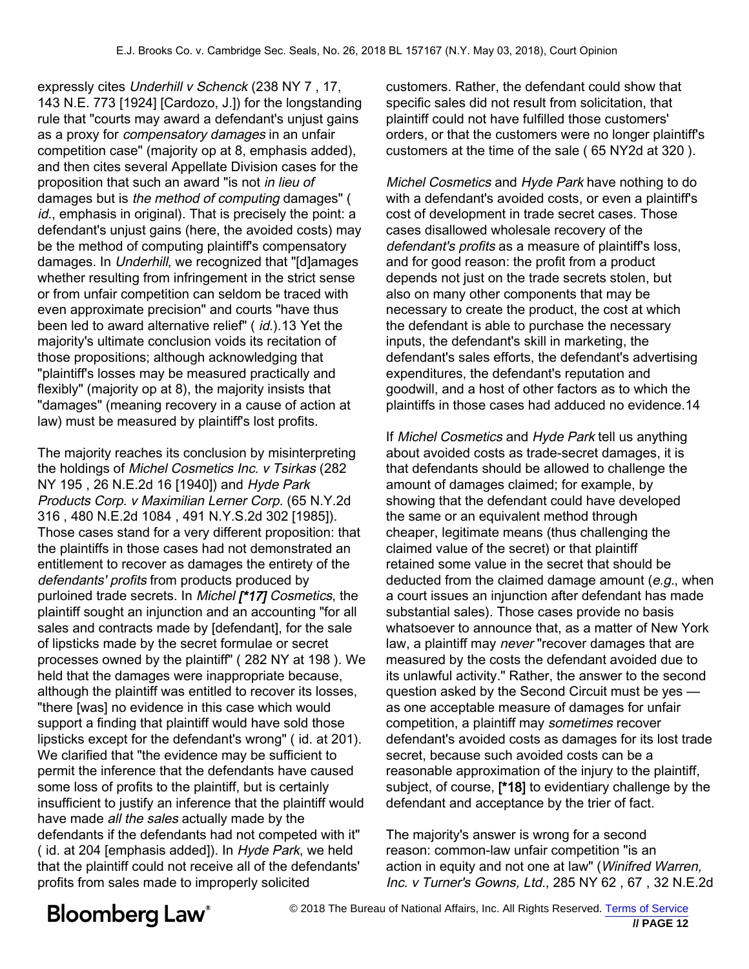expressly cites Underhill v Schenck (238 NY 7, 17, 143 N.E. 773 [1924] [Cardozo, J.]) for the longstanding rule that "courts may award a defendant's unjust gains as a proxy for *compensatory damages* in an unfair competition case" (majority op at 8, emphasis added), and then cites several Appellate Division cases for the proposition that such an award "is not in lieu of damages but is the method of computing damages" ( id., emphasis in original). That is precisely the point: a defendant's unjust gains (here, the avoided costs) may be the method of computing plaintiff's compensatory damages. In Underhill, we recognized that "[d]amages whether resulting from infringement in the strict sense or from unfair competition can seldom be traced with even approximate precision" and courts "have thus been led to award alternative relief" (*id.*).13 Yet the majority's ultimate conclusion voids its recitation of those propositions; although acknowledging that "plaintiff's losses may be measured practically and flexibly" (majority op at 8), the majority insists that "damages" (meaning recovery in a cause of action at law) must be measured by plaintiff's lost profits.

The majority reaches its conclusion by misinterpreting the holdings of Michel Cosmetics Inc. v Tsirkas (282 NY 195, 26 N.E.2d 16 [1940]) and Hyde Park Products Corp. v Maximilian Lerner Corp. (65 N.Y.2d 316 , 480 N.E.2d 1084 , 491 N.Y.S.2d 302 [1985]). Those cases stand for a very different proposition: that the plaintiffs in those cases had not demonstrated an entitlement to recover as damages the entirety of the defendants' profits from products produced by purloined trade secrets. In Michel [\*17] Cosmetics, the plaintiff sought an injunction and an accounting "for all sales and contracts made by [defendant], for the sale of lipsticks made by the secret formulae or secret processes owned by the plaintiff" ( 282 NY at 198 ). We held that the damages were inappropriate because, although the plaintiff was entitled to recover its losses, "there [was] no evidence in this case which would support a finding that plaintiff would have sold those lipsticks except for the defendant's wrong" ( id. at 201). We clarified that "the evidence may be sufficient to permit the inference that the defendants have caused some loss of profits to the plaintiff, but is certainly insufficient to justify an inference that the plaintiff would have made all the sales actually made by the defendants if the defendants had not competed with it" ( id. at 204 [emphasis added]). In Hyde Park, we held that the plaintiff could not receive all of the defendants' profits from sales made to improperly solicited

customers. Rather, the defendant could show that specific sales did not result from solicitation, that plaintiff could not have fulfilled those customers' orders, or that the customers were no longer plaintiff's customers at the time of the sale ( 65 NY2d at 320 ).

Michel Cosmetics and Hyde Park have nothing to do with a defendant's avoided costs, or even a plaintiff's cost of development in trade secret cases. Those cases disallowed wholesale recovery of the defendant's profits as a measure of plaintiff's loss, and for good reason: the profit from a product depends not just on the trade secrets stolen, but also on many other components that may be necessary to create the product, the cost at which the defendant is able to purchase the necessary inputs, the defendant's skill in marketing, the defendant's sales efforts, the defendant's advertising expenditures, the defendant's reputation and goodwill, and a host of other factors as to which the plaintiffs in those cases had adduced no evidence.14

If Michel Cosmetics and Hyde Park tell us anything about avoided costs as trade-secret damages, it is that defendants should be allowed to challenge the amount of damages claimed; for example, by showing that the defendant could have developed the same or an equivalent method through cheaper, legitimate means (thus challenging the claimed value of the secret) or that plaintiff retained some value in the secret that should be deducted from the claimed damage amount (e.g., when a court issues an injunction after defendant has made substantial sales). Those cases provide no basis whatsoever to announce that, as a matter of New York law, a plaintiff may never "recover damages that are measured by the costs the defendant avoided due to its unlawful activity." Rather, the answer to the second question asked by the Second Circuit must be yes as one acceptable measure of damages for unfair competition, a plaintiff may sometimes recover defendant's avoided costs as damages for its lost trade secret, because such avoided costs can be a reasonable approximation of the injury to the plaintiff, subject, of course, [\*18] to evidentiary challenge by the defendant and acceptance by the trier of fact.

The majority's answer is wrong for a second reason: common-law unfair competition "is an action in equity and not one at law" (Winifred Warren, Inc. v Turner's Gowns, Ltd., 285 NY 62 , 67 , 32 N.E.2d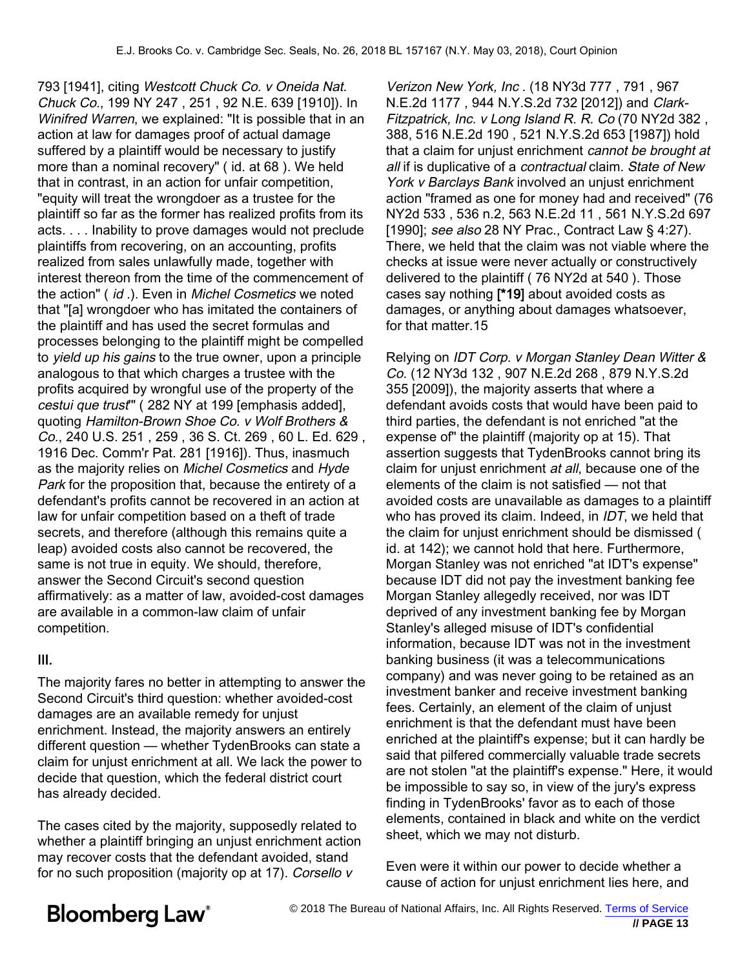793 [1941], citing Westcott Chuck Co. v Oneida Nat. Chuck Co., 199 NY 247 , 251 , 92 N.E. 639 [1910]). In Winifred Warren, we explained: "It is possible that in an action at law for damages proof of actual damage suffered by a plaintiff would be necessary to justify more than a nominal recovery" ( id. at 68 ). We held that in contrast, in an action for unfair competition, "equity will treat the wrongdoer as a trustee for the plaintiff so far as the former has realized profits from its acts. . . . Inability to prove damages would not preclude plaintiffs from recovering, on an accounting, profits realized from sales unlawfully made, together with interest thereon from the time of the commencement of the action" (*id*.). Even in *Michel Cosmetics* we noted that "[a] wrongdoer who has imitated the containers of the plaintiff and has used the secret formulas and processes belonging to the plaintiff might be compelled to *yield up his gains* to the true owner, upon a principle analogous to that which charges a trustee with the profits acquired by wrongful use of the property of the cestui que trust'" ( 282 NY at 199 [emphasis added], quoting Hamilton-Brown Shoe Co. v Wolf Brothers & Co., 240 U.S. 251 , 259 , 36 S. Ct. 269 , 60 L. Ed. 629 , 1916 Dec. Comm'r Pat. 281 [1916]). Thus, inasmuch as the majority relies on Michel Cosmetics and Hyde Park for the proposition that, because the entirety of a defendant's profits cannot be recovered in an action at law for unfair competition based on a theft of trade secrets, and therefore (although this remains quite a leap) avoided costs also cannot be recovered, the same is not true in equity. We should, therefore, answer the Second Circuit's second question affirmatively: as a matter of law, avoided-cost damages are available in a common-law claim of unfair competition.

### III.

The majority fares no better in attempting to answer the Second Circuit's third question: whether avoided-cost damages are an available remedy for unjust enrichment. Instead, the majority answers an entirely different question — whether TydenBrooks can state a claim for unjust enrichment at all. We lack the power to decide that question, which the federal district court has already decided.

The cases cited by the majority, supposedly related to whether a plaintiff bringing an unjust enrichment action may recover costs that the defendant avoided, stand for no such proposition (majority op at 17). Corsello v

Verizon New York, Inc . (18 NY3d 777 , 791 , 967 N.E.2d 1177 , 944 N.Y.S.2d 732 [2012]) and Clark-Fitzpatrick, Inc. v Long Island R. R. Co (70 NY2d 382 , 388, 516 N.E.2d 190 , 521 N.Y.S.2d 653 [1987]) hold that a claim for unjust enrichment cannot be brought at all if is duplicative of a contractual claim. State of New York v Barclays Bank involved an unjust enrichment action "framed as one for money had and received" (76 NY2d 533 , 536 n.2, 563 N.E.2d 11 , 561 N.Y.S.2d 697 [1990]; see also 28 NY Prac., Contract Law § 4:27). There, we held that the claim was not viable where the checks at issue were never actually or constructively delivered to the plaintiff ( 76 NY2d at 540 ). Those cases say nothing [\*19] about avoided costs as damages, or anything about damages whatsoever, for that matter.15

Relying on IDT Corp. v Morgan Stanley Dean Witter & Co. (12 NY3d 132 , 907 N.E.2d 268 , 879 N.Y.S.2d 355 [2009]), the majority asserts that where a defendant avoids costs that would have been paid to third parties, the defendant is not enriched "at the expense of" the plaintiff (majority op at 15). That assertion suggests that TydenBrooks cannot bring its claim for unjust enrichment at all, because one of the elements of the claim is not satisfied — not that avoided costs are unavailable as damages to a plaintiff who has proved its claim. Indeed, in *IDT*, we held that the claim for unjust enrichment should be dismissed ( id. at 142); we cannot hold that here. Furthermore, Morgan Stanley was not enriched "at IDT's expense" because IDT did not pay the investment banking fee Morgan Stanley allegedly received, nor was IDT deprived of any investment banking fee by Morgan Stanley's alleged misuse of IDT's confidential information, because IDT was not in the investment banking business (it was a telecommunications company) and was never going to be retained as an investment banker and receive investment banking fees. Certainly, an element of the claim of unjust enrichment is that the defendant must have been enriched at the plaintiff's expense; but it can hardly be said that pilfered commercially valuable trade secrets are not stolen "at the plaintiff's expense." Here, it would be impossible to say so, in view of the jury's express finding in TydenBrooks' favor as to each of those elements, contained in black and white on the verdict sheet, which we may not disturb.

Even were it within our power to decide whether a cause of action for unjust enrichment lies here, and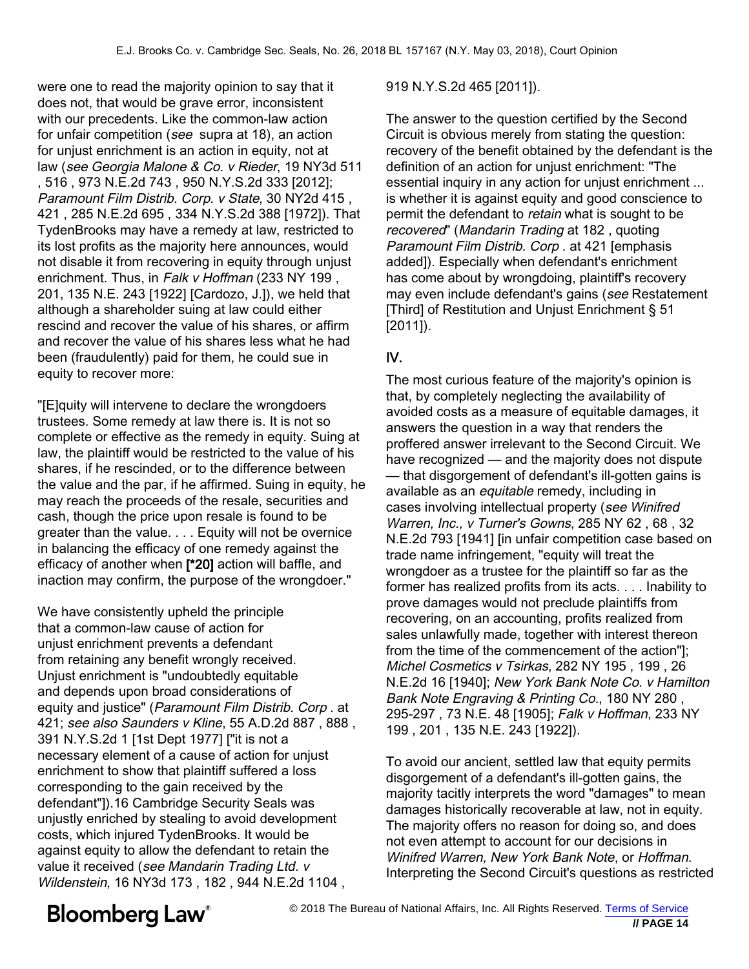were one to read the majority opinion to say that it does not, that would be grave error, inconsistent with our precedents. Like the common-law action for unfair competition (see supra at 18), an action for unjust enrichment is an action in equity, not at law (see Georgia Malone & Co. v Rieder, 19 NY3d 511 , 516 , 973 N.E.2d 743 , 950 N.Y.S.2d 333 [2012]; Paramount Film Distrib. Corp. v State, 30 NY2d 415, 421, 285 N.E.2d 695, 334 N.Y.S.2d 388 [1972]). That TydenBrooks may have a remedy at law, restricted to its lost profits as the majority here announces, would not disable it from recovering in equity through unjust enrichment. Thus, in Falk v Hoffman (233 NY 199. 201, 135 N.E. 243 [1922] [Cardozo, J.]), we held that although a shareholder suing at law could either rescind and recover the value of his shares, or affirm and recover the value of his shares less what he had been (fraudulently) paid for them, he could sue in equity to recover more:

"[E]quity will intervene to declare the wrongdoers trustees. Some remedy at law there is. It is not so complete or effective as the remedy in equity. Suing at law, the plaintiff would be restricted to the value of his shares, if he rescinded, or to the difference between the value and the par, if he affirmed. Suing in equity, he may reach the proceeds of the resale, securities and cash, though the price upon resale is found to be greater than the value. . . . Equity will not be overnice in balancing the efficacy of one remedy against the efficacy of another when [\*20] action will baffle, and inaction may confirm, the purpose of the wrongdoer."

We have consistently upheld the principle that a common-law cause of action for unjust enrichment prevents a defendant from retaining any benefit wrongly received. Unjust enrichment is "undoubtedly equitable and depends upon broad considerations of equity and justice" (Paramount Film Distrib. Corp. at 421; see also Saunders v Kline, 55 A.D.2d 887, 888, 391 N.Y.S.2d 1 [1st Dept 1977] ["it is not a necessary element of a cause of action for unjust enrichment to show that plaintiff suffered a loss corresponding to the gain received by the defendant"]).16 Cambridge Security Seals was unjustly enriched by stealing to avoid development costs, which injured TydenBrooks. It would be against equity to allow the defendant to retain the value it received (see Mandarin Trading Ltd. v Wildenstein, 16 NY3d 173 , 182 , 944 N.E.2d 1104 ,

## 919 N.Y.S.2d 465 [2011]).

The answer to the question certified by the Second Circuit is obvious merely from stating the question: recovery of the benefit obtained by the defendant is the definition of an action for unjust enrichment: "The essential inquiry in any action for unjust enrichment ... is whether it is against equity and good conscience to permit the defendant to retain what is sought to be recovered" (Mandarin Trading at 182 , quoting Paramount Film Distrib. Corp . at 421 [emphasis added]). Especially when defendant's enrichment has come about by wrongdoing, plaintiff's recovery may even include defendant's gains (see Restatement [Third] of Restitution and Unjust Enrichment § 51 [2011]).

# IV.

The most curious feature of the majority's opinion is that, by completely neglecting the availability of avoided costs as a measure of equitable damages, it answers the question in a way that renders the proffered answer irrelevant to the Second Circuit. We have recognized — and the majority does not dispute — that disgorgement of defendant's ill-gotten gains is available as an equitable remedy, including in cases involving intellectual property (see Winifred Warren, Inc., v Turner's Gowns, 285 NY 62, 68, 32 N.E.2d 793 [1941] [in unfair competition case based on trade name infringement, "equity will treat the wrongdoer as a trustee for the plaintiff so far as the former has realized profits from its acts. . . . Inability to prove damages would not preclude plaintiffs from recovering, on an accounting, profits realized from sales unlawfully made, together with interest thereon from the time of the commencement of the action"]; Michel Cosmetics v Tsirkas, 282 NY 195 , 199 , 26 N.E.2d 16 [1940]; New York Bank Note Co. v Hamilton Bank Note Engraving & Printing Co., 180 NY 280 ,<br>295-297 , 73 N.E. 48 [1905]; Falk v Hoffman, 233 NY 199 , 201 , 135 N.E. 243 [1922]).

To avoid our ancient, settled law that equity permits disgorgement of a defendant's ill-gotten gains, the majority tacitly interprets the word "damages" to mean damages historically recoverable at law, not in equity. The majority offers no reason for doing so, and does not even attempt to account for our decisions in Winifred Warren, New York Bank Note, or Hoffman. Interpreting the Second Circuit's questions as restricted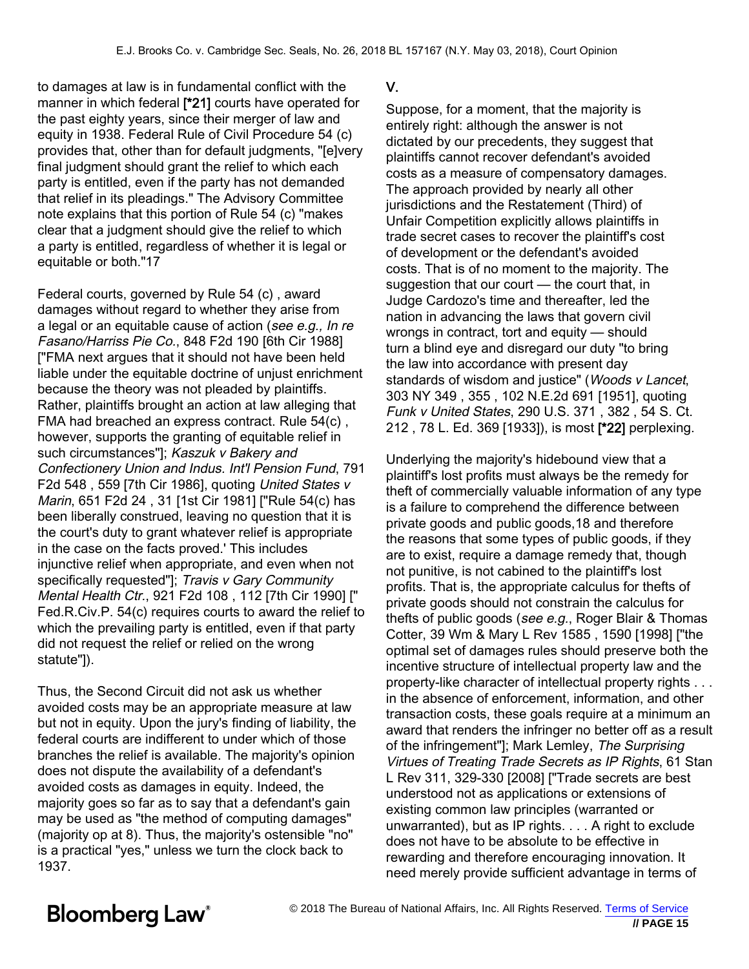to damages at law is in fundamental conflict with the manner in which federal [\*21] courts have operated for the past eighty years, since their merger of law and equity in 1938. Federal Rule of Civil Procedure 54 (c) provides that, other than for default judgments, "[e]very final judgment should grant the relief to which each party is entitled, even if the party has not demanded that relief in its pleadings." The Advisory Committee note explains that this portion of Rule 54 (c) "makes clear that a judgment should give the relief to which a party is entitled, regardless of whether it is legal or equitable or both."17

Federal courts, governed by Rule 54 (c) , award damages without regard to whether they arise from a legal or an equitable cause of action (see e.g., In re Fasano/Harriss Pie Co., 848 F2d 190 [6th Cir 1988] ["FMA next argues that it should not have been held liable under the equitable doctrine of unjust enrichment because the theory was not pleaded by plaintiffs. Rather, plaintiffs brought an action at law alleging that FMA had breached an express contract. Rule 54(c) , however, supports the granting of equitable relief in such circumstances"]; Kaszuk v Bakery and Confectionery Union and Indus. Int'l Pension Fund, 791 F2d 548 , 559 [7th Cir 1986], quoting United States v Marin, 651 F2d 24 , 31 [1st Cir 1981] ["Rule 54(c) has been liberally construed, leaving no question that it is the court's duty to grant whatever relief is appropriate in the case on the facts proved.' This includes injunctive relief when appropriate, and even when not specifically requested"]; Travis v Gary Community Mental Health Ctr., 921 F2d 108 , 112 [7th Cir 1990] [" Fed.R.Civ.P. 54(c) requires courts to award the relief to which the prevailing party is entitled, even if that party did not request the relief or relied on the wrong statute"]).

Thus, the Second Circuit did not ask us whether avoided costs may be an appropriate measure at law but not in equity. Upon the jury's finding of liability, the federal courts are indifferent to under which of those branches the relief is available. The majority's opinion does not dispute the availability of a defendant's avoided costs as damages in equity. Indeed, the majority goes so far as to say that a defendant's gain may be used as "the method of computing damages" (majority op at 8). Thus, the majority's ostensible "no" is a practical "yes," unless we turn the clock back to 1937.

V.

Suppose, for a moment, that the majority is entirely right: although the answer is not dictated by our precedents, they suggest that plaintiffs cannot recover defendant's avoided costs as a measure of compensatory damages. The approach provided by nearly all other jurisdictions and the Restatement (Third) of Unfair Competition explicitly allows plaintiffs in trade secret cases to recover the plaintiff's cost of development or the defendant's avoided costs. That is of no moment to the majority. The suggestion that our court — the court that, in Judge Cardozo's time and thereafter, led the nation in advancing the laws that govern civil wrongs in contract, tort and equity — should turn a blind eye and disregard our duty "to bring the law into accordance with present day standards of wisdom and justice" (*Woods v Lancet,* 303 NY 349, 355, 102 N.E.2d 691 [1951], quoting Funk v United States, 290 U.S. 371 , 382 , 54 S. Ct. 212 , 78 L. Ed. 369 [1933]), is most [\*22] perplexing.

Underlying the majority's hidebound view that a plaintiff's lost profits must always be the remedy for theft of commercially valuable information of any type is a failure to comprehend the difference between private goods and public goods,18 and therefore the reasons that some types of public goods, if they are to exist, require a damage remedy that, though not punitive, is not cabined to the plaintiff's lost profits. That is, the appropriate calculus for thefts of private goods should not constrain the calculus for thefts of public goods (see e.g., Roger Blair & Thomas Cotter, 39 Wm & Mary L Rev 1585 , 1590 [1998] ["the optimal set of damages rules should preserve both the incentive structure of intellectual property law and the property-like character of intellectual property rights . . . in the absence of enforcement, information, and other transaction costs, these goals require at a minimum an award that renders the infringer no better off as a result of the infringement"]; Mark Lemley, The Surprising Virtues of Treating Trade Secrets as IP Rights, 61 Stan L Rev 311, 329-330 [2008] ["Trade secrets are best understood not as applications or extensions of existing common law principles (warranted or unwarranted), but as IP rights. . . . A right to exclude does not have to be absolute to be effective in rewarding and therefore encouraging innovation. It need merely provide sufficient advantage in terms of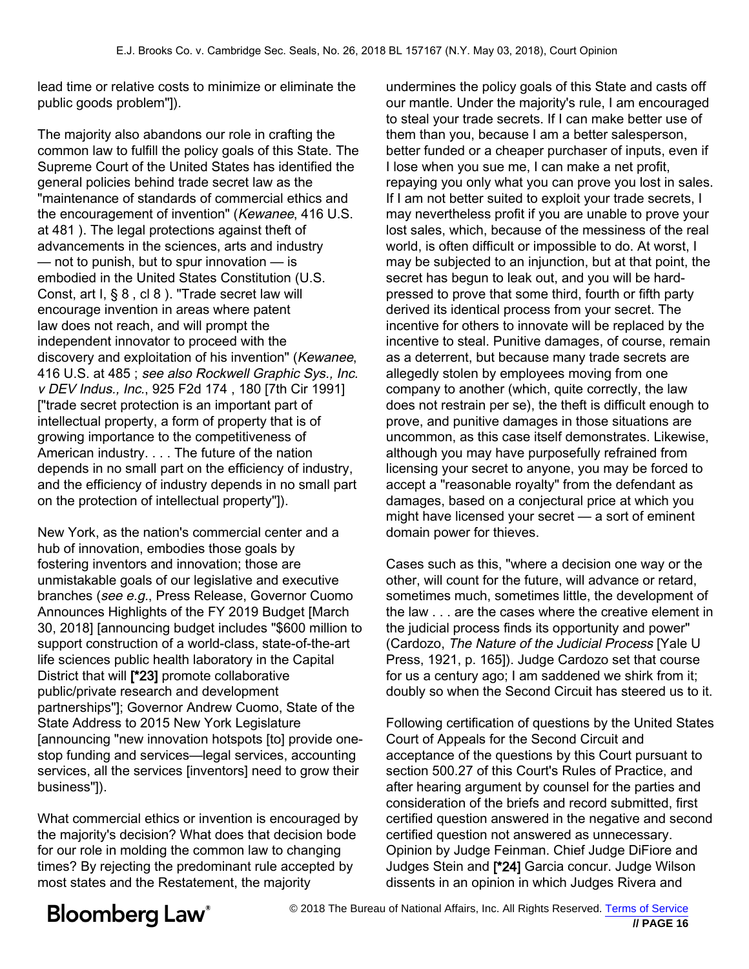lead time or relative costs to minimize or eliminate the public goods problem"]).

The majority also abandons our role in crafting the common law to fulfill the policy goals of this State. The Supreme Court of the United States has identified the general policies behind trade secret law as the "maintenance of standards of commercial ethics and the encouragement of invention" (Kewanee, 416 U.S. at 481 ). The legal protections against theft of advancements in the sciences, arts and industry — not to punish, but to spur innovation — is embodied in the United States Constitution (U.S. Const, art I, § 8 , cl 8 ). "Trade secret law will encourage invention in areas where patent law does not reach, and will prompt the independent innovator to proceed with the discovery and exploitation of his invention" (Kewanee, 416 U.S. at 485 ; see also Rockwell Graphic Sys., Inc. v DEV Indus., Inc., 925 F2d 174 , 180 [7th Cir 1991] ["trade secret protection is an important part of intellectual property, a form of property that is of growing importance to the competitiveness of American industry. . . . The future of the nation depends in no small part on the efficiency of industry, and the efficiency of industry depends in no small part on the protection of intellectual property"]).

New York, as the nation's commercial center and a hub of innovation, embodies those goals by fostering inventors and innovation; those are unmistakable goals of our legislative and executive branches (see e.g., Press Release, Governor Cuomo Announces Highlights of the FY 2019 Budget [March 30, 2018] [announcing budget includes "\$600 million to support construction of a world-class, state-of-the-art life sciences public health laboratory in the Capital District that will [\*23] promote collaborative public/private research and development partnerships"]; Governor Andrew Cuomo, State of the State Address to 2015 New York Legislature [announcing "new innovation hotspots [to] provide onestop funding and services—legal services, accounting services, all the services [inventors] need to grow their business"]).

What commercial ethics or invention is encouraged by the majority's decision? What does that decision bode for our role in molding the common law to changing times? By rejecting the predominant rule accepted by most states and the Restatement, the majority

undermines the policy goals of this State and casts off our mantle. Under the majority's rule, I am encouraged to steal your trade secrets. If I can make better use of them than you, because I am a better salesperson, better funded or a cheaper purchaser of inputs, even if I lose when you sue me, I can make a net profit, repaying you only what you can prove you lost in sales. If I am not better suited to exploit your trade secrets, I may nevertheless profit if you are unable to prove your lost sales, which, because of the messiness of the real world, is often difficult or impossible to do. At worst, I may be subjected to an injunction, but at that point, the secret has begun to leak out, and you will be hardpressed to prove that some third, fourth or fifth party derived its identical process from your secret. The incentive for others to innovate will be replaced by the incentive to steal. Punitive damages, of course, remain as a deterrent, but because many trade secrets are allegedly stolen by employees moving from one company to another (which, quite correctly, the law does not restrain per se), the theft is difficult enough to prove, and punitive damages in those situations are uncommon, as this case itself demonstrates. Likewise, although you may have purposefully refrained from licensing your secret to anyone, you may be forced to accept a "reasonable royalty" from the defendant as damages, based on a conjectural price at which you might have licensed your secret — a sort of eminent domain power for thieves.

Cases such as this, "where a decision one way or the other, will count for the future, will advance or retard, sometimes much, sometimes little, the development of the law . . . are the cases where the creative element in the judicial process finds its opportunity and power" (Cardozo, The Nature of the Judicial Process [Yale U Press, 1921, p. 165]). Judge Cardozo set that course for us a century ago; I am saddened we shirk from it; doubly so when the Second Circuit has steered us to it.

Following certification of questions by the United States Court of Appeals for the Second Circuit and acceptance of the questions by this Court pursuant to section 500.27 of this Court's Rules of Practice, and after hearing argument by counsel for the parties and consideration of the briefs and record submitted, first certified question answered in the negative and second certified question not answered as unnecessary. Opinion by Judge Feinman. Chief Judge DiFiore and Judges Stein and [\*24] Garcia concur. Judge Wilson dissents in an opinion in which Judges Rivera and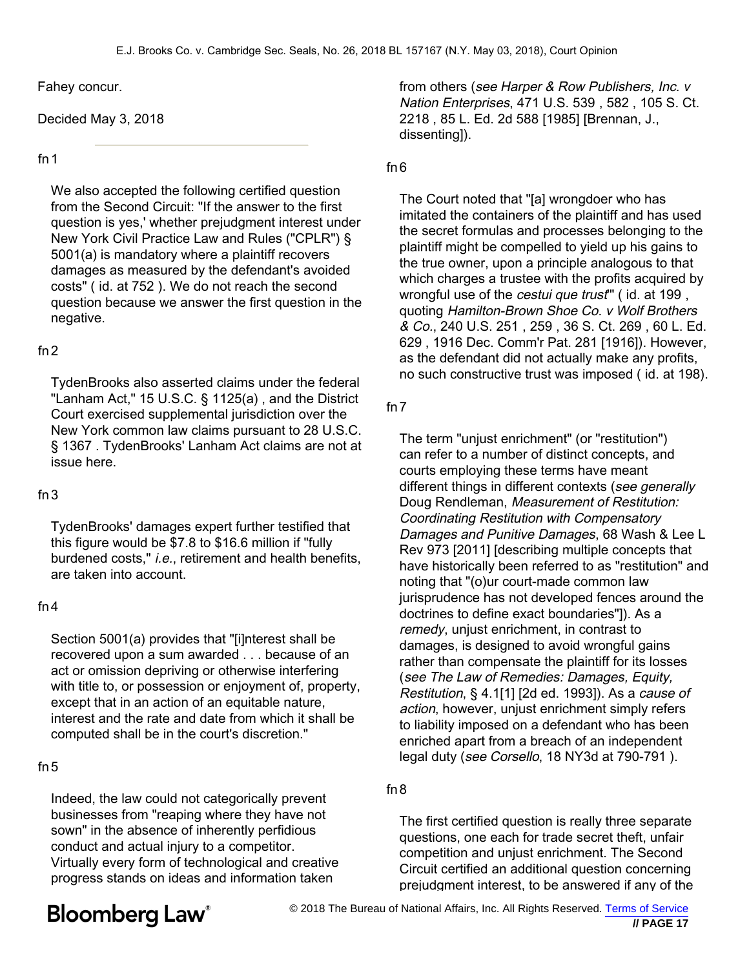Fahey concur.

Decided May 3, 2018

#### fn1

We also accepted the following certified question from the Second Circuit: "If the answer to the first question is yes,' whether prejudgment interest under New York Civil Practice Law and Rules ("CPLR") § 5001(a) is mandatory where a plaintiff recovers damages as measured by the defendant's avoided costs" ( id. at 752 ). We do not reach the second question because we answer the first question in the negative.

### fn2

TydenBrooks also asserted claims under the federal "Lanham Act," 15 U.S.C. § 1125(a) , and the District Court exercised supplemental jurisdiction over the New York common law claims pursuant to 28 U.S.C. § 1367 . TydenBrooks' Lanham Act claims are not at issue here.

#### fn3

TydenBrooks' damages expert further testified that this figure would be \$7.8 to \$16.6 million if "fully burdened costs," i.e., retirement and health benefits, are taken into account.

#### fn4

Section 5001(a) provides that "[i]nterest shall be recovered upon a sum awarded . . . because of an act or omission depriving or otherwise interfering with title to, or possession or enjoyment of, property, except that in an action of an equitable nature, interest and the rate and date from which it shall be computed shall be in the court's discretion."

#### fn5

Indeed, the law could not categorically prevent businesses from "reaping where they have not sown" in the absence of inherently perfidious conduct and actual injury to a competitor. Virtually every form of technological and creative progress stands on ideas and information taken

# **Bloomberg Law**<sup>®</sup>

from others (see Harper & Row Publishers, Inc. v Nation Enterprises, 471 U.S. 539 , 582 , 105 S. Ct. 2218 , 85 L. Ed. 2d 588 [1985] [Brennan, J., dissenting]).

### fn6

The Court noted that "[a] wrongdoer who has imitated the containers of the plaintiff and has used the secret formulas and processes belonging to the plaintiff might be compelled to yield up his gains to the true owner, upon a principle analogous to that which charges a trustee with the profits acquired by wrongful use of the *cestui que trust*" ( id. at 199, quoting Hamilton-Brown Shoe Co. v Wolf Brothers & Co., 240 U.S. 251 , 259 , 36 S. Ct. 269 , 60 L. Ed. 629 , 1916 Dec. Comm'r Pat. 281 [1916]). However, as the defendant did not actually make any profits, no such constructive trust was imposed ( id. at 198).

### fn7

The term "unjust enrichment" (or "restitution") can refer to a number of distinct concepts, and courts employing these terms have meant different things in different contexts (see generally Doug Rendleman, Measurement of Restitution: Coordinating Restitution with Compensatory Damages and Punitive Damages, 68 Wash & Lee L Rev 973 [2011] [describing multiple concepts that have historically been referred to as "restitution" and noting that "(o)ur court-made common law jurisprudence has not developed fences around the doctrines to define exact boundaries"]). As a remedy, unjust enrichment, in contrast to damages, is designed to avoid wrongful gains rather than compensate the plaintiff for its losses (see The Law of Remedies: Damages, Equity, Restitution, § 4.1[1] [2d ed. 1993]). As a cause of action, however, unjust enrichment simply refers to liability imposed on a defendant who has been enriched apart from a breach of an independent legal duty (see Corsello, 18 NY3d at 790-791 ).

### fn8

The first certified question is really three separate questions, one each for trade secret theft, unfair competition and unjust enrichment. The Second Circuit certified an additional question concerning prejudgment interest, to be answered if any of the

© 2018 The Bureau of National Affairs, Inc. All Rights Reserved. [Terms of Service](http://www.bna.com/terms-of-service-subscription-products)  **// PAGE 17**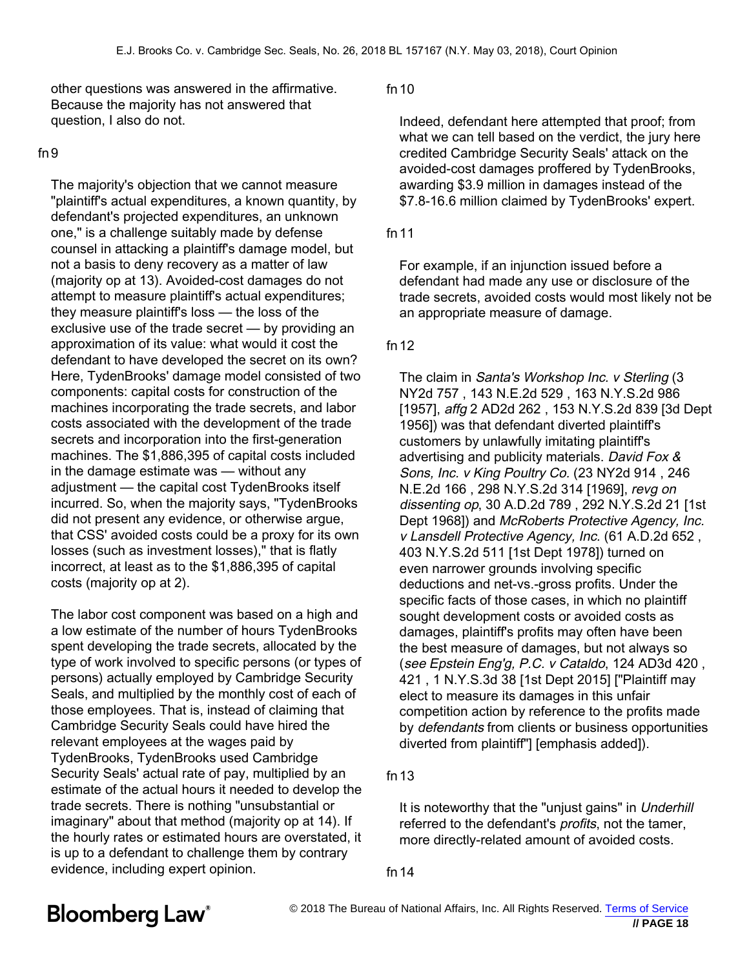other questions was answered in the affirmative. Because the majority has not answered that question, I also do not.

fn9

The majority's objection that we cannot measure "plaintiff's actual expenditures, a known quantity, by defendant's projected expenditures, an unknown one," is a challenge suitably made by defense counsel in attacking a plaintiff's damage model, but not a basis to deny recovery as a matter of law (majority op at 13). Avoided-cost damages do not attempt to measure plaintiff's actual expenditures; they measure plaintiff's loss — the loss of the exclusive use of the trade secret — by providing an approximation of its value: what would it cost the defendant to have developed the secret on its own? Here, TydenBrooks' damage model consisted of two components: capital costs for construction of the machines incorporating the trade secrets, and labor costs associated with the development of the trade secrets and incorporation into the first-generation machines. The \$1,886,395 of capital costs included in the damage estimate was — without any adjustment — the capital cost TydenBrooks itself incurred. So, when the majority says, "TydenBrooks did not present any evidence, or otherwise argue, that CSS' avoided costs could be a proxy for its own losses (such as investment losses)," that is flatly incorrect, at least as to the \$1,886,395 of capital costs (majority op at 2).

The labor cost component was based on a high and a low estimate of the number of hours TydenBrooks spent developing the trade secrets, allocated by the type of work involved to specific persons (or types of persons) actually employed by Cambridge Security Seals, and multiplied by the monthly cost of each of those employees. That is, instead of claiming that Cambridge Security Seals could have hired the relevant employees at the wages paid by TydenBrooks, TydenBrooks used Cambridge Security Seals' actual rate of pay, multiplied by an estimate of the actual hours it needed to develop the trade secrets. There is nothing "unsubstantial or imaginary" about that method (majority op at 14). If the hourly rates or estimated hours are overstated, it is up to a defendant to challenge them by contrary evidence, including expert opinion.

fn10

Indeed, defendant here attempted that proof; from what we can tell based on the verdict, the jury here credited Cambridge Security Seals' attack on the avoided-cost damages proffered by TydenBrooks, awarding \$3.9 million in damages instead of the \$7.8-16.6 million claimed by TydenBrooks' expert.

### fn11

For example, if an injunction issued before a defendant had made any use or disclosure of the trade secrets, avoided costs would most likely not be an appropriate measure of damage.

### fn12

The claim in Santa's Workshop Inc. v Sterling (3 NY2d 757 , 143 N.E.2d 529 , 163 N.Y.S.2d 986 [1957], affg 2 AD2d 262 , 153 N.Y.S.2d 839 [3d Dept 1956]) was that defendant diverted plaintiff's customers by unlawfully imitating plaintiff's advertising and publicity materials. David Fox & Sons, Inc. v King Poultry Co. (23 NY2d 914 , 246 N.E.2d 166 , 298 N.Y.S.2d 314 [1969], revg on dissenting op, 30 A.D.2d 789 , 292 N.Y.S.2d 21 [1st Dept 1968]) and McRoberts Protective Agency, Inc. v Lansdell Protective Agency, Inc. (61 A.D.2d 652 , 403 N.Y.S.2d 511 [1st Dept 1978]) turned on even narrower grounds involving specific deductions and net-vs.-gross profits. Under the specific facts of those cases, in which no plaintiff sought development costs or avoided costs as damages, plaintiff's profits may often have been the best measure of damages, but not always so (see Epstein Eng'g, P.C. v Cataldo, 124 AD3d 420, 421, 1 N.Y.S.3d 38 [1st Dept 2015] ["Plaintiff may elect to measure its damages in this unfair competition action by reference to the profits made by defendants from clients or business opportunities diverted from plaintiff"] [emphasis added]).

## fn13

It is noteworthy that the "unjust gains" in Underhill referred to the defendant's profits, not the tamer, more directly-related amount of avoided costs.

### fn14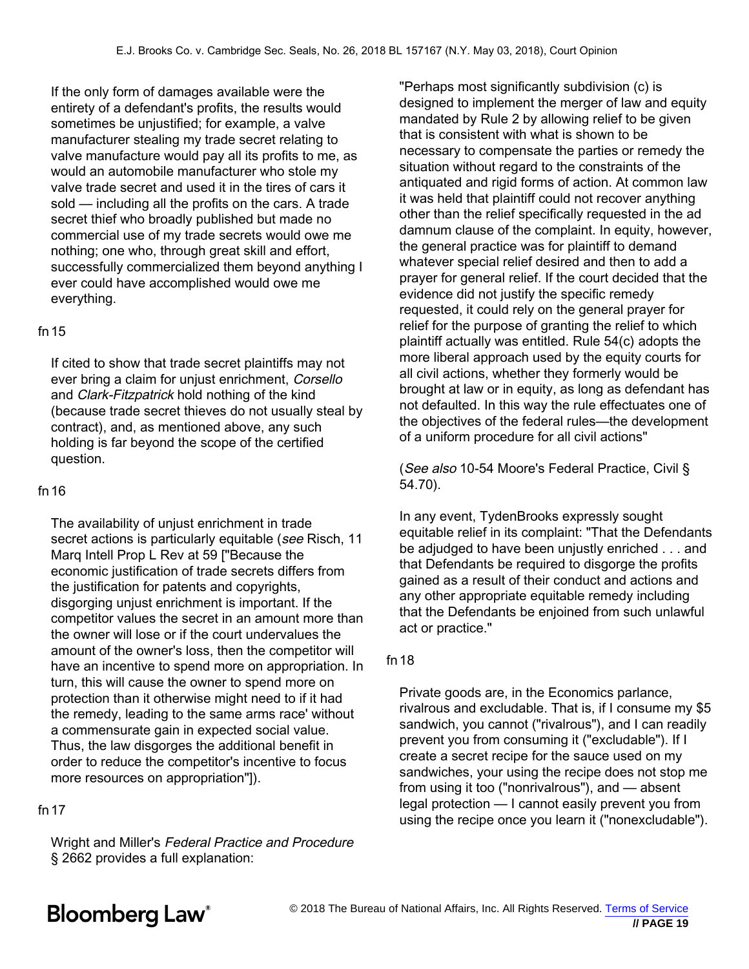If the only form of damages available were the entirety of a defendant's profits, the results would sometimes be unjustified; for example, a valve manufacturer stealing my trade secret relating to valve manufacture would pay all its profits to me, as would an automobile manufacturer who stole my valve trade secret and used it in the tires of cars it sold — including all the profits on the cars. A trade secret thief who broadly published but made no commercial use of my trade secrets would owe me nothing; one who, through great skill and effort. successfully commercialized them beyond anything I ever could have accomplished would owe me everything.

### fn15

If cited to show that trade secret plaintiffs may not ever bring a claim for unjust enrichment, Corsello and Clark-Fitzpatrick hold nothing of the kind (because trade secret thieves do not usually steal by contract), and, as mentioned above, any such holding is far beyond the scope of the certified question.

### fn16

The availability of unjust enrichment in trade secret actions is particularly equitable (see Risch, 11 Marq Intell Prop L Rev at 59 ["Because the economic justification of trade secrets differs from the justification for patents and copyrights, disgorging unjust enrichment is important. If the competitor values the secret in an amount more than the owner will lose or if the court undervalues the amount of the owner's loss, then the competitor will have an incentive to spend more on appropriation. In turn, this will cause the owner to spend more on protection than it otherwise might need to if it had the remedy, leading to the same arms race' without a commensurate gain in expected social value. Thus, the law disgorges the additional benefit in order to reduce the competitor's incentive to focus more resources on appropriation"]).

### fn17

Wright and Miller's Federal Practice and Procedure § 2662 provides a full explanation:

"Perhaps most significantly subdivision (c) is designed to implement the merger of law and equity mandated by Rule 2 by allowing relief to be given that is consistent with what is shown to be necessary to compensate the parties or remedy the situation without regard to the constraints of the antiquated and rigid forms of action. At common law it was held that plaintiff could not recover anything other than the relief specifically requested in the ad damnum clause of the complaint. In equity, however, the general practice was for plaintiff to demand whatever special relief desired and then to add a prayer for general relief. If the court decided that the evidence did not justify the specific remedy requested, it could rely on the general prayer for relief for the purpose of granting the relief to which plaintiff actually was entitled. Rule 54(c) adopts the more liberal approach used by the equity courts for all civil actions, whether they formerly would be brought at law or in equity, as long as defendant has not defaulted. In this way the rule effectuates one of the objectives of the federal rules—the development of a uniform procedure for all civil actions"

(See also 10-54 Moore's Federal Practice, Civil § 54.70).

In any event, TydenBrooks expressly sought equitable relief in its complaint: "That the Defendants be adjudged to have been unjustly enriched . . . and that Defendants be required to disgorge the profits gained as a result of their conduct and actions and any other appropriate equitable remedy including that the Defendants be enjoined from such unlawful act or practice."

### fn18

Private goods are, in the Economics parlance, rivalrous and excludable. That is, if I consume my \$5 sandwich, you cannot ("rivalrous"), and I can readily prevent you from consuming it ("excludable"). If I create a secret recipe for the sauce used on my sandwiches, your using the recipe does not stop me from using it too ("nonrivalrous"), and — absent legal protection — I cannot easily prevent you from using the recipe once you learn it ("nonexcludable").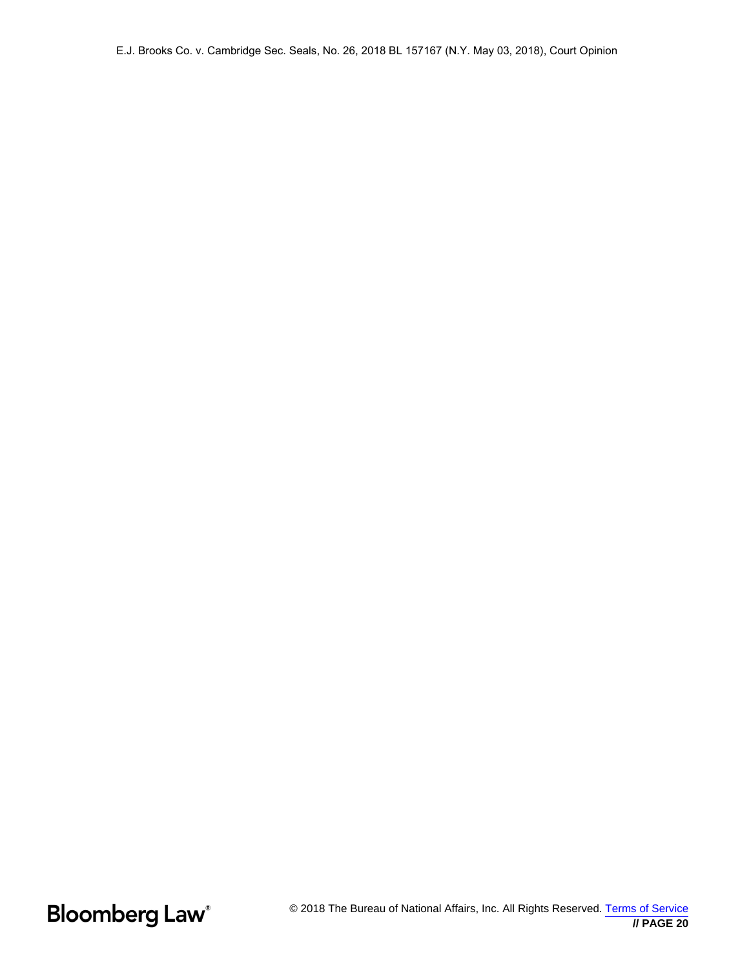E.J. Brooks Co. v. Cambridge Sec. Seals, No. 26, 2018 BL 157167 (N.Y. May 03, 2018), Court Opinion